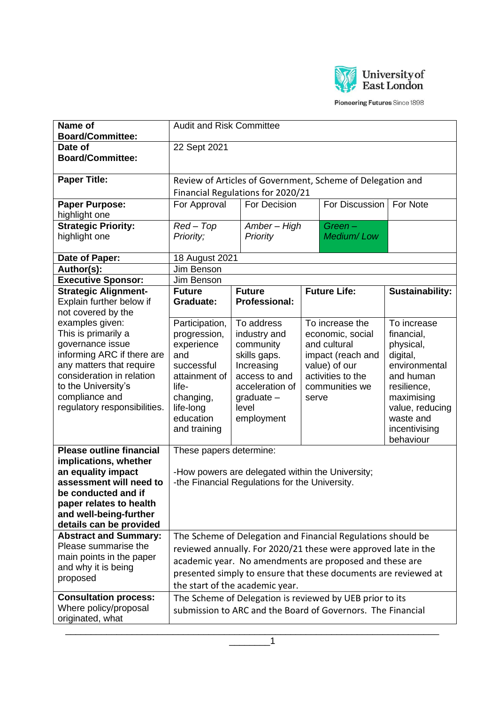

Pioneering Futures Since 1898

| Name of<br><b>Board/Committee:</b>                   | <b>Audit and Risk Committee</b>                                 |  |                                                  |       |                                                            |                           |
|------------------------------------------------------|-----------------------------------------------------------------|--|--------------------------------------------------|-------|------------------------------------------------------------|---------------------------|
| Date of                                              | 22 Sept 2021                                                    |  |                                                  |       |                                                            |                           |
| <b>Board/Committee:</b>                              |                                                                 |  |                                                  |       |                                                            |                           |
| <b>Paper Title:</b>                                  |                                                                 |  |                                                  |       | Review of Articles of Government, Scheme of Delegation and |                           |
|                                                      |                                                                 |  | Financial Regulations for 2020/21                |       |                                                            |                           |
| <b>Paper Purpose:</b>                                | For Approval<br>For Decision<br>For Note<br>For Discussion      |  |                                                  |       |                                                            |                           |
| highlight one                                        |                                                                 |  |                                                  |       |                                                            |                           |
| <b>Strategic Priority:</b>                           | $Red - Top$<br>Amber - High<br>$Green-$                         |  |                                                  |       |                                                            |                           |
| highlight one                                        | Priority;                                                       |  | <b>Priority</b>                                  |       | Medium/Low                                                 |                           |
| Date of Paper:                                       | 18 August 2021                                                  |  |                                                  |       |                                                            |                           |
| Author(s):                                           | Jim Benson                                                      |  |                                                  |       |                                                            |                           |
| <b>Executive Sponsor:</b>                            | Jim Benson                                                      |  |                                                  |       |                                                            |                           |
| <b>Strategic Alignment-</b>                          | <b>Future</b>                                                   |  | <b>Future</b>                                    |       | <b>Future Life:</b>                                        | <b>Sustainability:</b>    |
| Explain further below if<br>not covered by the       | Graduate:                                                       |  | <b>Professional:</b>                             |       |                                                            |                           |
| examples given:                                      | Participation,                                                  |  | To address                                       |       | To increase the                                            | To increase               |
| This is primarily a                                  | progression,                                                    |  | industry and                                     |       | economic, social                                           | financial,                |
| governance issue<br>informing ARC if there are       | experience                                                      |  | community                                        |       | and cultural                                               | physical,                 |
| any matters that require                             | and<br>successful                                               |  | skills gaps.<br>Increasing                       |       | impact (reach and<br>value) of our                         | digital,<br>environmental |
| consideration in relation                            | attainment of                                                   |  | access to and                                    |       | activities to the                                          | and human                 |
| to the University's                                  | life-                                                           |  | acceleration of                                  |       | communities we                                             | resilience,               |
| compliance and                                       | changing,                                                       |  | $graduate -$                                     | serve |                                                            | maximising                |
| regulatory responsibilities.                         | life-long                                                       |  | level                                            |       |                                                            | value, reducing           |
|                                                      | education                                                       |  | employment                                       |       |                                                            | waste and                 |
|                                                      | and training                                                    |  |                                                  |       |                                                            | incentivising             |
| <b>Please outline financial</b>                      |                                                                 |  |                                                  |       |                                                            | behaviour                 |
| implications, whether                                | These papers determine:                                         |  |                                                  |       |                                                            |                           |
| an equality impact                                   |                                                                 |  | -How powers are delegated within the University; |       |                                                            |                           |
| assessment will need to                              |                                                                 |  | -the Financial Regulations for the University.   |       |                                                            |                           |
| be conducted and if                                  |                                                                 |  |                                                  |       |                                                            |                           |
| paper relates to health                              |                                                                 |  |                                                  |       |                                                            |                           |
| and well-being-further                               |                                                                 |  |                                                  |       |                                                            |                           |
| details can be provided                              |                                                                 |  |                                                  |       |                                                            |                           |
| <b>Abstract and Summary:</b><br>Please summarise the | The Scheme of Delegation and Financial Regulations should be    |  |                                                  |       |                                                            |                           |
| main points in the paper                             | reviewed annually. For 2020/21 these were approved late in the  |  |                                                  |       |                                                            |                           |
| and why it is being                                  | academic year. No amendments are proposed and these are         |  |                                                  |       |                                                            |                           |
| proposed                                             | presented simply to ensure that these documents are reviewed at |  |                                                  |       |                                                            |                           |
|                                                      | the start of the academic year.                                 |  |                                                  |       |                                                            |                           |
| <b>Consultation process:</b>                         |                                                                 |  |                                                  |       | The Scheme of Delegation is reviewed by UEB prior to its   |                           |
| Where policy/proposal                                | submission to ARC and the Board of Governors. The Financial     |  |                                                  |       |                                                            |                           |
| originated, what                                     |                                                                 |  |                                                  |       |                                                            |                           |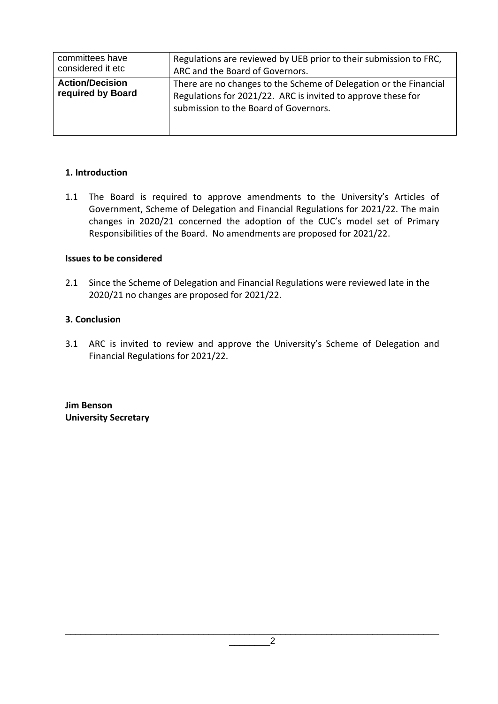| committees have<br>considered it etc        | Regulations are reviewed by UEB prior to their submission to FRC,<br>ARC and the Board of Governors.                                                                       |
|---------------------------------------------|----------------------------------------------------------------------------------------------------------------------------------------------------------------------------|
| <b>Action/Decision</b><br>required by Board | There are no changes to the Scheme of Delegation or the Financial<br>Regulations for 2021/22. ARC is invited to approve these for<br>submission to the Board of Governors. |

#### **1. Introduction**

1.1 The Board is required to approve amendments to the University's Articles of Government, Scheme of Delegation and Financial Regulations for 2021/22. The main changes in 2020/21 concerned the adoption of the CUC's model set of Primary Responsibilities of the Board. No amendments are proposed for 2021/22.

#### **Issues to be considered**

2.1 Since the Scheme of Delegation and Financial Regulations were reviewed late in the 2020/21 no changes are proposed for 2021/22.

#### **3. Conclusion**

3.1 ARC is invited to review and approve the University's Scheme of Delegation and Financial Regulations for 2021/22.

**Jim Benson University Secretary**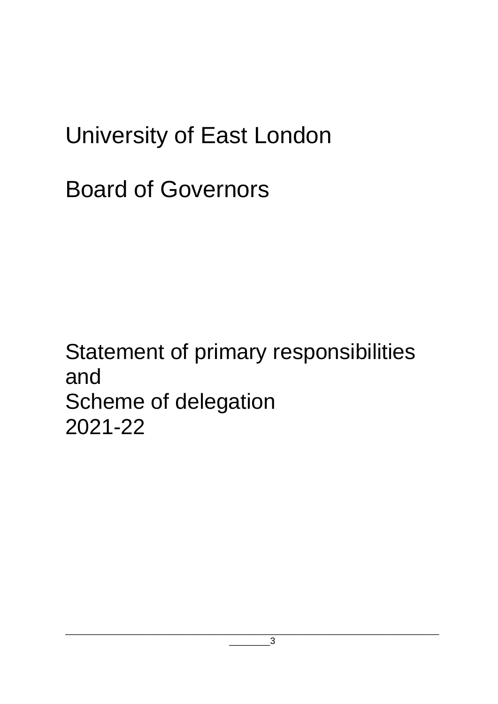# University of East London

# Board of Governors

# Statement of primary responsibilities and Scheme of delegation 2021-22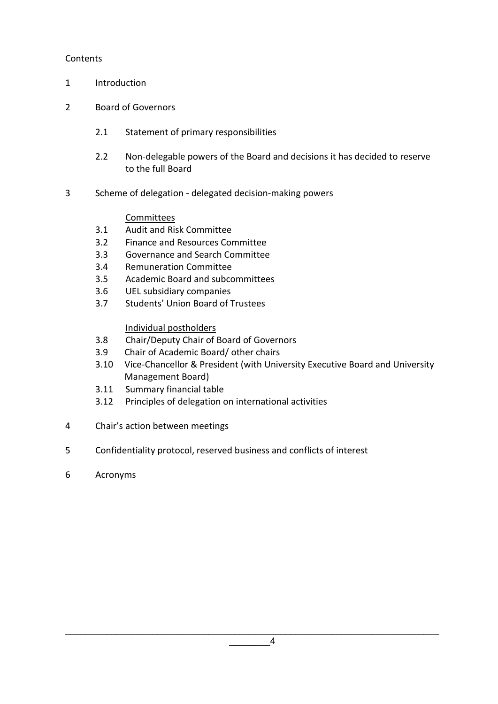#### **Contents**

- 1 Introduction
- 2 Board of Governors
	- 2.1 Statement of primary responsibilities
	- 2.2 Non-delegable powers of the Board and decisions it has decided to reserve to the full Board
- 3 Scheme of delegation delegated decision-making powers

#### **Committees**

- 3.1 Audit and Risk Committee
- 3.2 Finance and Resources Committee
- 3.3 Governance and Search Committee
- 3.4 Remuneration Committee
- 3.5 Academic Board and subcommittees
- 3.6 UEL subsidiary companies
- 3.7 Students' Union Board of Trustees

#### Individual postholders

- 3.8 Chair/Deputy Chair of Board of Governors
- 3.9 Chair of Academic Board/ other chairs
- 3.10 Vice-Chancellor & President (with University Executive Board and University Management Board)
- 3.11 Summary financial table
- 3.12 Principles of delegation on international activities
- 4 Chair's action between meetings
- 5 Confidentiality protocol, reserved business and conflicts of interest
- 6 Acronyms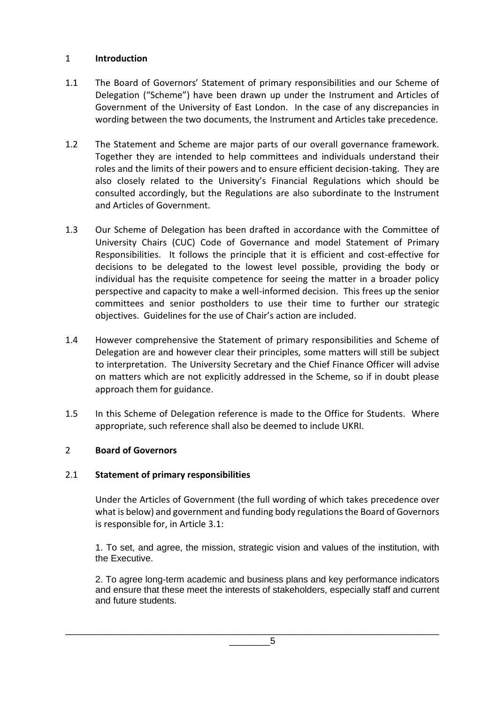#### 1 **Introduction**

- 1.1 The Board of Governors' Statement of primary responsibilities and our Scheme of Delegation ("Scheme") have been drawn up under the Instrument and Articles of Government of the University of East London. In the case of any discrepancies in wording between the two documents, the Instrument and Articles take precedence.
- 1.2 The Statement and Scheme are major parts of our overall governance framework. Together they are intended to help committees and individuals understand their roles and the limits of their powers and to ensure efficient decision-taking. They are also closely related to the University's Financial Regulations which should be consulted accordingly, but the Regulations are also subordinate to the Instrument and Articles of Government.
- 1.3 Our Scheme of Delegation has been drafted in accordance with the Committee of University Chairs (CUC) Code of Governance and model Statement of Primary Responsibilities. It follows the principle that it is efficient and cost-effective for decisions to be delegated to the lowest level possible, providing the body or individual has the requisite competence for seeing the matter in a broader policy perspective and capacity to make a well-informed decision. This frees up the senior committees and senior postholders to use their time to further our strategic objectives. Guidelines for the use of Chair's action are included.
- 1.4 However comprehensive the Statement of primary responsibilities and Scheme of Delegation are and however clear their principles, some matters will still be subject to interpretation. The University Secretary and the Chief Finance Officer will advise on matters which are not explicitly addressed in the Scheme, so if in doubt please approach them for guidance.
- 1.5 In this Scheme of Delegation reference is made to the Office for Students. Where appropriate, such reference shall also be deemed to include UKRI.

#### 2 **Board of Governors**

#### 2.1 **Statement of primary responsibilities**

Under the Articles of Government (the full wording of which takes precedence over what is below) and government and funding body regulations the Board of Governors is responsible for, in Article 3.1:

1. To set, and agree, the mission, strategic vision and values of the institution, with the Executive.

2. To agree long-term academic and business plans and key performance indicators and ensure that these meet the interests of stakeholders, especially staff and current and future students.

 $5$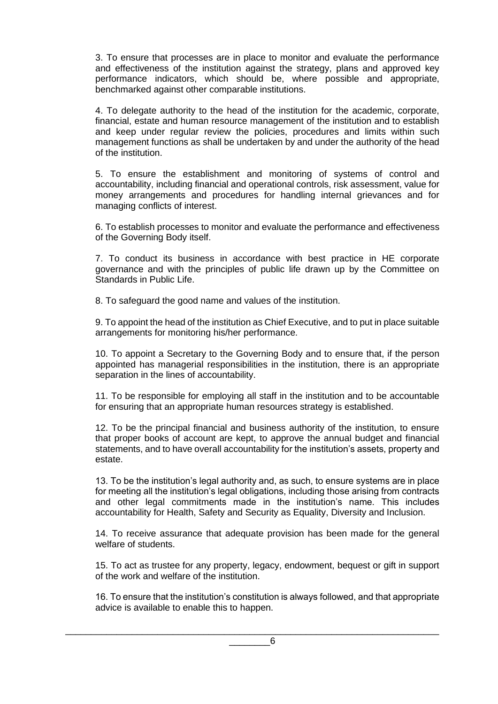3. To ensure that processes are in place to monitor and evaluate the performance and effectiveness of the institution against the strategy, plans and approved key performance indicators, which should be, where possible and appropriate, benchmarked against other comparable institutions.

4. To delegate authority to the head of the institution for the academic, corporate, financial, estate and human resource management of the institution and to establish and keep under regular review the policies, procedures and limits within such management functions as shall be undertaken by and under the authority of the head of the institution.

5. To ensure the establishment and monitoring of systems of control and accountability, including financial and operational controls, risk assessment, value for money arrangements and procedures for handling internal grievances and for managing conflicts of interest.

6. To establish processes to monitor and evaluate the performance and effectiveness of the Governing Body itself.

7. To conduct its business in accordance with best practice in HE corporate governance and with the principles of public life drawn up by the Committee on Standards in Public Life.

8. To safeguard the good name and values of the institution.

9. To appoint the head of the institution as Chief Executive, and to put in place suitable arrangements for monitoring his/her performance.

10. To appoint a Secretary to the Governing Body and to ensure that, if the person appointed has managerial responsibilities in the institution, there is an appropriate separation in the lines of accountability.

11. To be responsible for employing all staff in the institution and to be accountable for ensuring that an appropriate human resources strategy is established.

12. To be the principal financial and business authority of the institution, to ensure that proper books of account are kept, to approve the annual budget and financial statements, and to have overall accountability for the institution's assets, property and estate.

13. To be the institution's legal authority and, as such, to ensure systems are in place for meeting all the institution's legal obligations, including those arising from contracts and other legal commitments made in the institution's name. This includes accountability for Health, Safety and Security as Equality, Diversity and Inclusion.

14. To receive assurance that adequate provision has been made for the general welfare of students.

15. To act as trustee for any property, legacy, endowment, bequest or gift in support of the work and welfare of the institution.

16. To ensure that the institution's constitution is always followed, and that appropriate advice is available to enable this to happen.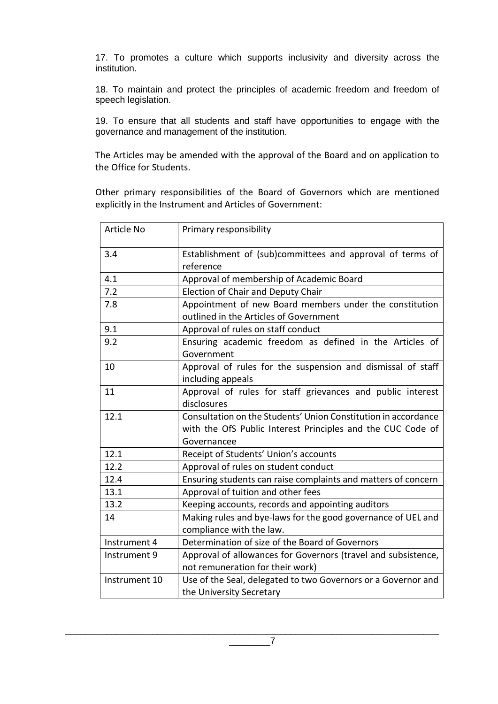17. To promotes a culture which supports inclusivity and diversity across the institution.

18. To maintain and protect the principles of academic freedom and freedom of speech legislation.

19. To ensure that all students and staff have opportunities to engage with the governance and management of the institution.

The Articles may be amended with the approval of the Board and on application to the Office for Students.

Other primary responsibilities of the Board of Governors which are mentioned explicitly in the Instrument and Articles of Government:

| Article No    | Primary responsibility                                                 |
|---------------|------------------------------------------------------------------------|
| 3.4           | Establishment of (sub)committees and approval of terms of<br>reference |
| 4.1           | Approval of membership of Academic Board                               |
| 7.2           | <b>Election of Chair and Deputy Chair</b>                              |
| 7.8           | Appointment of new Board members under the constitution                |
|               | outlined in the Articles of Government                                 |
| 9.1           | Approval of rules on staff conduct                                     |
| 9.2           | Ensuring academic freedom as defined in the Articles of                |
|               | Government                                                             |
| 10            | Approval of rules for the suspension and dismissal of staff            |
|               | including appeals                                                      |
| 11            | Approval of rules for staff grievances and public interest             |
|               | disclosures                                                            |
| 12.1          | Consultation on the Students' Union Constitution in accordance         |
|               | with the OfS Public Interest Principles and the CUC Code of            |
|               | Governancee                                                            |
| 12.1          | Receipt of Students' Union's accounts                                  |
| 12.2          | Approval of rules on student conduct                                   |
| 12.4          | Ensuring students can raise complaints and matters of concern          |
| 13.1          | Approval of tuition and other fees                                     |
| 13.2          | Keeping accounts, records and appointing auditors                      |
| 14            | Making rules and bye-laws for the good governance of UEL and           |
|               | compliance with the law.                                               |
| Instrument 4  | Determination of size of the Board of Governors                        |
| Instrument 9  | Approval of allowances for Governors (travel and subsistence,          |
|               | not remuneration for their work)                                       |
| Instrument 10 | Use of the Seal, delegated to two Governors or a Governor and          |
|               | the University Secretary                                               |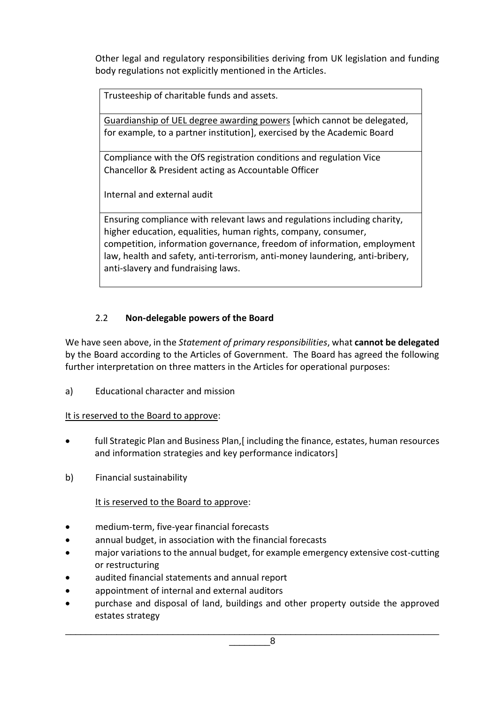Other legal and regulatory responsibilities deriving from UK legislation and funding body regulations not explicitly mentioned in the Articles.

Trusteeship of charitable funds and assets.

Guardianship of UEL degree awarding powers [which cannot be delegated, for example, to a partner institution], exercised by the Academic Board

Compliance with the OfS registration conditions and regulation Vice Chancellor & President acting as Accountable Officer

Internal and external audit

Ensuring compliance with relevant laws and regulations including charity, higher education, equalities, human rights, company, consumer, competition, information governance, freedom of information, employment law, health and safety, anti-terrorism, anti-money laundering, anti-bribery, anti-slavery and fundraising laws.

# 2.2 **Non-delegable powers of the Board**

We have seen above, in the *Statement of primary responsibilities*, what **cannot be delegated** by the Board according to the Articles of Government. The Board has agreed the following further interpretation on three matters in the Articles for operational purposes:

a) Educational character and mission

# It is reserved to the Board to approve:

- full Strategic Plan and Business Plan, [including the finance, estates, human resources and information strategies and key performance indicators]
- b) Financial sustainability

# It is reserved to the Board to approve:

- medium-term, five-year financial forecasts
- annual budget, in association with the financial forecasts
- major variations to the annual budget, for example emergency extensive cost-cutting or restructuring
- audited financial statements and annual report
- appointment of internal and external auditors
- purchase and disposal of land, buildings and other property outside the approved estates strategy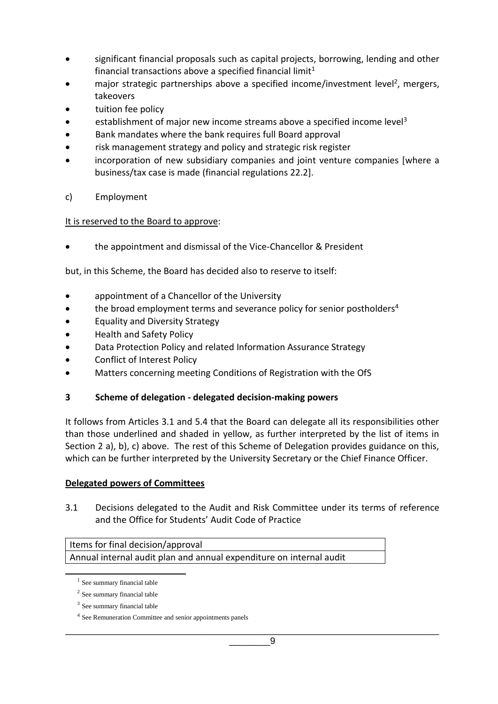- significant financial proposals such as capital projects, borrowing, lending and other financial transactions above a specified financial limit $1$
- major strategic partnerships above a specified income/investment level<sup>2</sup>, mergers, takeovers
- tuition fee policy
- establishment of major new income streams above a specified income level<sup>3</sup>
- Bank mandates where the bank requires full Board approval
- risk management strategy and policy and strategic risk register
- incorporation of new subsidiary companies and joint venture companies [where a business/tax case is made (financial regulations 22.2].
- c) Employment

#### It is reserved to the Board to approve:

• the appointment and dismissal of the Vice-Chancellor & President

but, in this Scheme, the Board has decided also to reserve to itself:

- appointment of a Chancellor of the University
- the broad employment terms and severance policy for senior postholders<sup>4</sup>
- Equality and Diversity Strategy
- Health and Safety Policy
- Data Protection Policy and related Information Assurance Strategy
- Conflict of Interest Policy
- Matters concerning meeting Conditions of Registration with the OfS

#### **3 Scheme of delegation - delegated decision-making powers**

It follows from Articles 3.1 and 5.4 that the Board can delegate all its responsibilities other than those underlined and shaded in yellow, as further interpreted by the list of items in Section 2 a), b), c) above. The rest of this Scheme of Delegation provides guidance on this, which can be further interpreted by the University Secretary or the Chief Finance Officer.

#### **Delegated powers of Committees**

3.1 Decisions delegated to the Audit and Risk Committee under its terms of reference and the Office for Students' Audit Code of Practice

Items for final decision/approval Annual internal audit plan and annual expenditure on internal audit

<sup>&</sup>lt;sup>1</sup> See summary financial table

<sup>&</sup>lt;sup>2</sup> See summary financial table

<sup>&</sup>lt;sup>3</sup> See summary financial table

<sup>&</sup>lt;sup>4</sup> See Remuneration Committee and senior appointments panels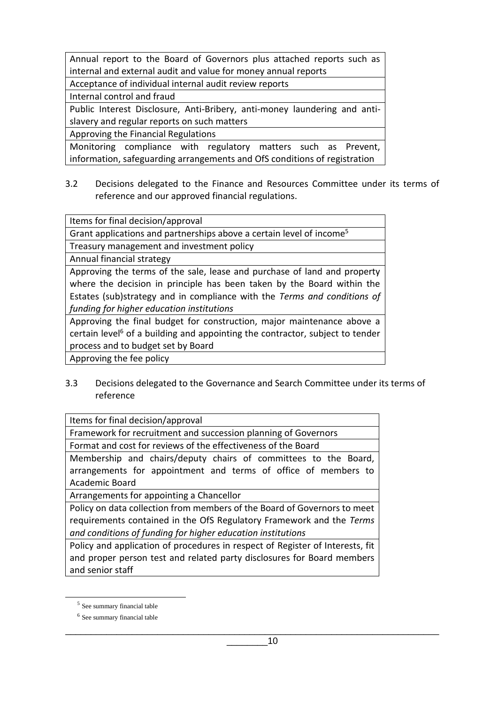Annual report to the Board of Governors plus attached reports such as internal and external audit and value for money annual reports

Acceptance of individual internal audit review reports

Internal control and fraud

Public Interest Disclosure, Anti-Bribery, anti-money laundering and antislavery and regular reports on such matters

Approving the Financial Regulations

Monitoring compliance with regulatory matters such as Prevent, information, safeguarding arrangements and OfS conditions of registration

3.2 Decisions delegated to the Finance and Resources Committee under its terms of reference and our approved financial regulations.

Items for final decision/approval

Grant applications and partnerships above a certain level of income<sup>5</sup>

Treasury management and investment policy

Annual financial strategy

Approving the terms of the sale, lease and purchase of land and property where the decision in principle has been taken by the Board within the Estates (sub)strategy and in compliance with the *Terms and conditions of funding for higher education institutions* 

Approving the final budget for construction, major maintenance above a certain level<sup>6</sup> of a building and appointing the contractor, subject to tender process and to budget set by Board

Approving the fee policy

3.3 Decisions delegated to the Governance and Search Committee under its terms of reference

Items for final decision/approval

Framework for recruitment and succession planning of Governors

Format and cost for reviews of the effectiveness of the Board

Membership and chairs/deputy chairs of committees to the Board, arrangements for appointment and terms of office of members to Academic Board

Arrangements for appointing a Chancellor

Policy on data collection from members of the Board of Governors to meet requirements contained in the OfS Regulatory Framework and the *Terms and conditions of funding for higher education institutions*

Policy and application of procedures in respect of Register of Interests, fit and proper person test and related party disclosures for Board members and senior staff

<sup>&</sup>lt;sup>5</sup> See summary financial table

<sup>&</sup>lt;sup>6</sup> See summary financial table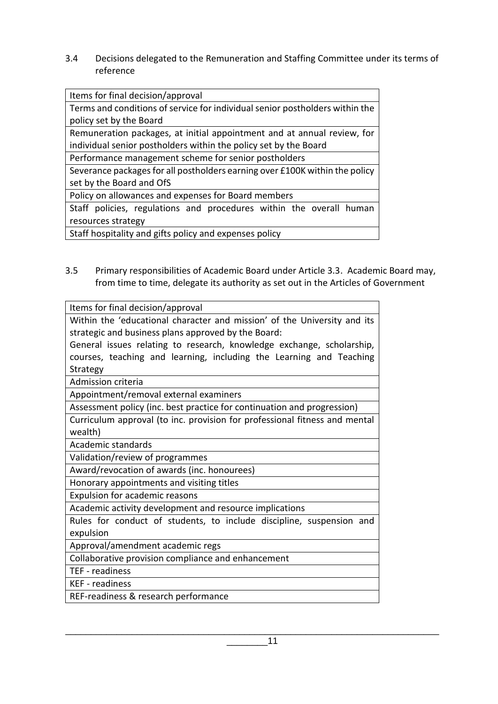3.4 Decisions delegated to the Remuneration and Staffing Committee under its terms of reference

Items for final decision/approval

Terms and conditions of service for individual senior postholders within the policy set by the Board

Remuneration packages, at initial appointment and at annual review, for individual senior postholders within the policy set by the Board

Performance management scheme for senior postholders

Severance packages for all postholders earning over £100K within the policy set by the Board and OfS

Policy on allowances and expenses for Board members

Staff policies, regulations and procedures within the overall human resources strategy

Staff hospitality and gifts policy and expenses policy

3.5 Primary responsibilities of Academic Board under Article 3.3. Academic Board may, from time to time, delegate its authority as set out in the Articles of Government

Items for final decision/approval

Within the 'educational character and mission' of the University and its strategic and business plans approved by the Board:

General issues relating to research, knowledge exchange, scholarship, courses, teaching and learning, including the Learning and Teaching Strategy

Admission criteria

Appointment/removal external examiners

Assessment policy (inc. best practice for continuation and progression)

Curriculum approval (to inc. provision for professional fitness and mental wealth)

Academic standards

Validation/review of programmes

Award/revocation of awards (inc. honourees)

Honorary appointments and visiting titles

Expulsion for academic reasons

Academic activity development and resource implications

Rules for conduct of students, to include discipline, suspension and expulsion

Approval/amendment academic regs

Collaborative provision compliance and enhancement

TEF - readiness

KEF - readiness

REF-readiness & research performance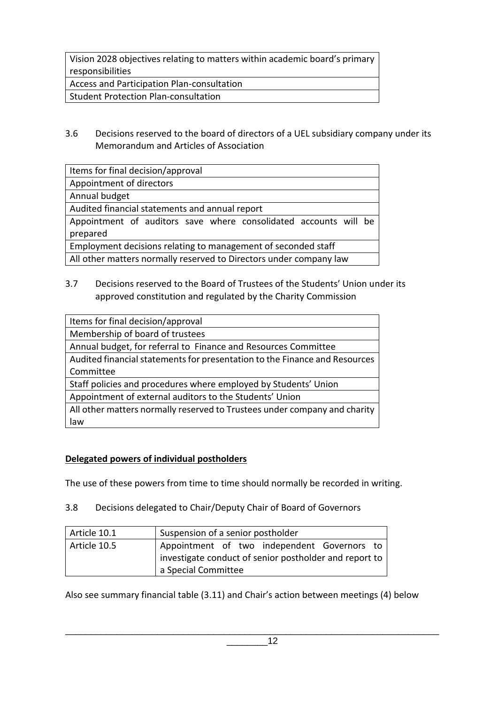Vision 2028 objectives relating to matters within academic board's primary responsibilities

Access and Participation Plan-consultation

Student Protection Plan-consultation

3.6 Decisions reserved to the board of directors of a UEL subsidiary company under its Memorandum and Articles of Association

| Items for final decision/approval                                  |  |  |  |
|--------------------------------------------------------------------|--|--|--|
| Appointment of directors                                           |  |  |  |
| Annual budget                                                      |  |  |  |
| Audited financial statements and annual report                     |  |  |  |
| Appointment of auditors save where consolidated accounts will be   |  |  |  |
| prepared                                                           |  |  |  |
| Employment decisions relating to management of seconded staff      |  |  |  |
| All other matters normally reserved to Directors under company law |  |  |  |

3.7 Decisions reserved to the Board of Trustees of the Students' Union under its approved constitution and regulated by the Charity Commission

| Items for final decision/approval                                          |
|----------------------------------------------------------------------------|
| Membership of board of trustees                                            |
| Annual budget, for referral to Finance and Resources Committee             |
| Audited financial statements for presentation to the Finance and Resources |
| Committee                                                                  |
| Staff policies and procedures where employed by Students' Union            |
| Appointment of external auditors to the Students' Union                    |
| All other matters normally reserved to Trustees under company and charity  |
| law                                                                        |

# **Delegated powers of individual postholders**

The use of these powers from time to time should normally be recorded in writing.

3.8 Decisions delegated to Chair/Deputy Chair of Board of Governors

| Article 10.1 | Suspension of a senior postholder                      |  |  |  |  |
|--------------|--------------------------------------------------------|--|--|--|--|
| Article 10.5 | Appointment of two independent Governors to            |  |  |  |  |
|              | investigate conduct of senior postholder and report to |  |  |  |  |
|              | a Special Committee                                    |  |  |  |  |

Also see summary financial table (3.11) and Chair's action between meetings (4) below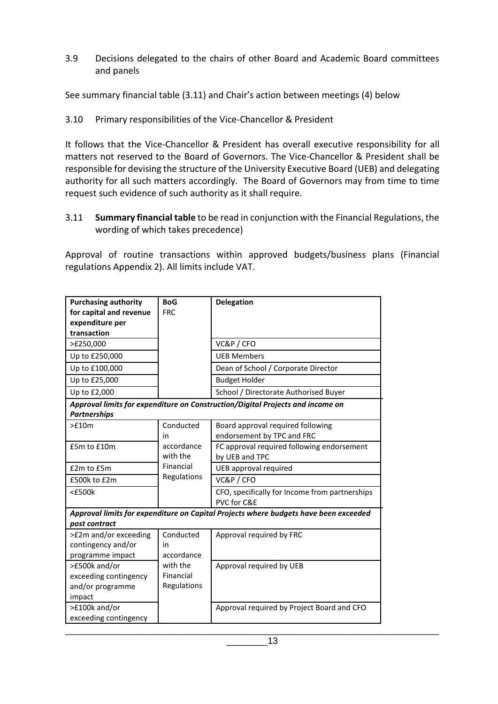3.9 Decisions delegated to the chairs of other Board and Academic Board committees and panels

See summary financial table (3.11) and Chair's action between meetings (4) below

## 3.10 Primary responsibilities of the Vice-Chancellor & President

It follows that the Vice-Chancellor & President has overall executive responsibility for all matters not reserved to the Board of Governors. The Vice-Chancellor & President shall be responsible for devising the structure of the University Executive Board (UEB) and delegating authority for all such matters accordingly. The Board of Governors may from time to time request such evidence of such authority as it shall require.

3.11 **Summary financial table** to be read in conjunction with the Financial Regulations, the wording of which takes precedence)

Approval of routine transactions within approved budgets/business plans (Financial regulations Appendix 2). All limits include VAT.

| <b>Purchasing authority</b><br>for capital and revenue               | <b>BoG</b><br><b>FRC</b>             | <b>Delegation</b>                                                                    |
|----------------------------------------------------------------------|--------------------------------------|--------------------------------------------------------------------------------------|
| expenditure per                                                      |                                      |                                                                                      |
| transaction                                                          |                                      |                                                                                      |
| >£250,000                                                            |                                      | VC&P / CFO                                                                           |
| Up to £250,000                                                       |                                      | <b>UEB Members</b>                                                                   |
| Up to £100,000                                                       |                                      | Dean of School / Corporate Director                                                  |
| Up to £25,000                                                        |                                      | <b>Budget Holder</b>                                                                 |
| Up to £2,000                                                         |                                      | School / Directorate Authorised Buyer                                                |
|                                                                      |                                      | Approval limits for expenditure on Construction/Digital Projects and income on       |
| <b>Partnerships</b>                                                  |                                      |                                                                                      |
| >f10m                                                                | Conducted                            | Board approval required following                                                    |
|                                                                      | in                                   | endorsement by TPC and FRC                                                           |
| £5m to £10m                                                          | accordance                           | FC approval required following endorsement                                           |
|                                                                      | with the                             | by UEB and TPC                                                                       |
| £2m to £5m                                                           | Financial                            | UEB approval required                                                                |
| £500k to £2m                                                         | Regulations                          | VC&P / CFO                                                                           |
| $<$ £500 $k$                                                         |                                      | CFO, specifically for Income from partnerships<br>PVC for C&E                        |
|                                                                      |                                      | Approval limits for expenditure on Capital Projects where budgets have been exceeded |
| post contract                                                        |                                      |                                                                                      |
| >£2m and/or exceeding<br>contingency and/or<br>programme impact      | Conducted<br>in<br>accordance        | Approval required by FRC                                                             |
| >£500k and/or<br>exceeding contingency<br>and/or programme<br>impact | with the<br>Financial<br>Regulations | Approval required by UEB                                                             |
| >£100k and/or<br>exceeding contingency                               |                                      | Approval required by Project Board and CFO                                           |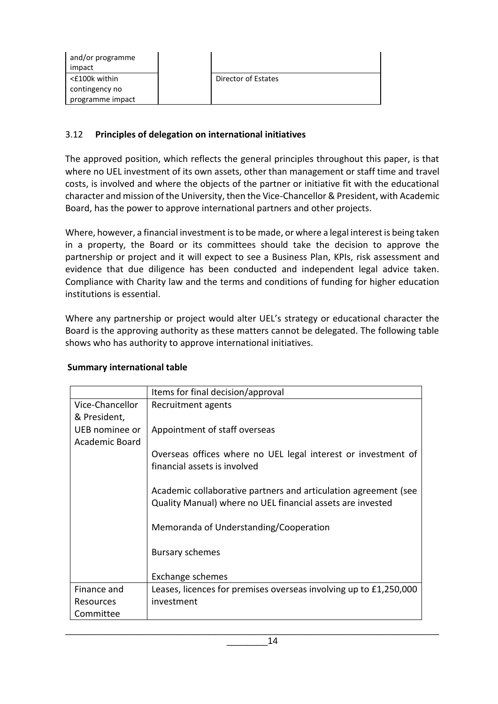| and/or programme |                     |
|------------------|---------------------|
| impact           |                     |
| <£100k within    | Director of Estates |
| contingency no   |                     |
| programme impact |                     |

#### 3.12 **Principles of delegation on international initiatives**

The approved position, which reflects the general principles throughout this paper, is that where no UEL investment of its own assets, other than management or staff time and travel costs, is involved and where the objects of the partner or initiative fit with the educational character and mission of the University, then the Vice-Chancellor & President, with Academic Board, has the power to approve international partners and other projects.

Where, however, a financial investment is to be made, or where a legal interest is being taken in a property, the Board or its committees should take the decision to approve the partnership or project and it will expect to see a Business Plan, KPIs, risk assessment and evidence that due diligence has been conducted and independent legal advice taken. Compliance with Charity law and the terms and conditions of funding for higher education institutions is essential.

Where any partnership or project would alter UEL's strategy or educational character the Board is the approving authority as these matters cannot be delegated. The following table shows who has authority to approve international initiatives.

#### **Summary international table**

|                 | Items for final decision/approval                                 |  |  |  |
|-----------------|-------------------------------------------------------------------|--|--|--|
| Vice-Chancellor | Recruitment agents                                                |  |  |  |
| & President,    |                                                                   |  |  |  |
| UEB nominee or  | Appointment of staff overseas                                     |  |  |  |
| Academic Board  |                                                                   |  |  |  |
|                 | Overseas offices where no UEL legal interest or investment of     |  |  |  |
|                 | financial assets is involved                                      |  |  |  |
|                 |                                                                   |  |  |  |
|                 | Academic collaborative partners and articulation agreement (see   |  |  |  |
|                 | Quality Manual) where no UEL financial assets are invested        |  |  |  |
|                 | Memoranda of Understanding/Cooperation                            |  |  |  |
|                 |                                                                   |  |  |  |
|                 | <b>Bursary schemes</b>                                            |  |  |  |
|                 |                                                                   |  |  |  |
|                 | Exchange schemes                                                  |  |  |  |
| Finance and     | Leases, licences for premises overseas involving up to £1,250,000 |  |  |  |
| Resources       | investment                                                        |  |  |  |
| Committee       |                                                                   |  |  |  |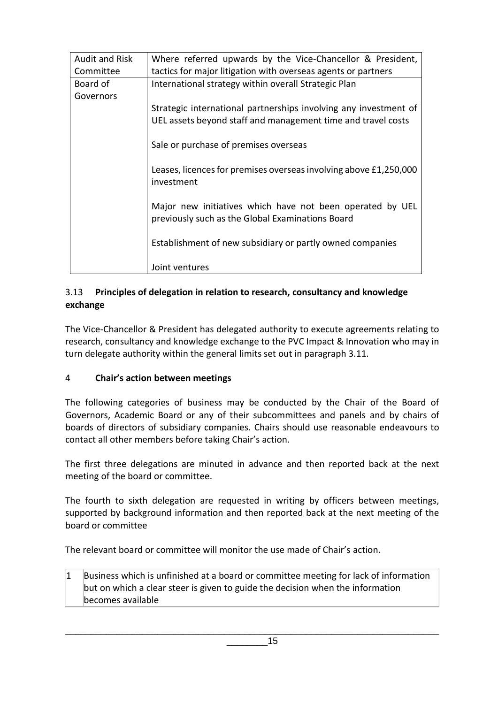| <b>Audit and Risk</b> | Where referred upwards by the Vice-Chancellor & President,                                                    |  |  |  |  |
|-----------------------|---------------------------------------------------------------------------------------------------------------|--|--|--|--|
| Committee             | tactics for major litigation with overseas agents or partners                                                 |  |  |  |  |
| Board of              | International strategy within overall Strategic Plan                                                          |  |  |  |  |
| Governors             |                                                                                                               |  |  |  |  |
|                       | Strategic international partnerships involving any investment of                                              |  |  |  |  |
|                       | UEL assets beyond staff and management time and travel costs                                                  |  |  |  |  |
|                       | Sale or purchase of premises overseas                                                                         |  |  |  |  |
|                       | Leases, licences for premises overseas involving above £1,250,000<br>investment                               |  |  |  |  |
|                       | Major new initiatives which have not been operated by UEL<br>previously such as the Global Examinations Board |  |  |  |  |
|                       | Establishment of new subsidiary or partly owned companies                                                     |  |  |  |  |
|                       | Joint ventures                                                                                                |  |  |  |  |

#### 3.13 **Principles of delegation in relation to research, consultancy and knowledge exchange**

The Vice-Chancellor & President has delegated authority to execute agreements relating to research, consultancy and knowledge exchange to the PVC Impact & Innovation who may in turn delegate authority within the general limits set out in paragraph 3.11.

# 4 **Chair's action between meetings**

The following categories of business may be conducted by the Chair of the Board of Governors, Academic Board or any of their subcommittees and panels and by chairs of boards of directors of subsidiary companies. Chairs should use reasonable endeavours to contact all other members before taking Chair's action.

The first three delegations are minuted in advance and then reported back at the next meeting of the board or committee.

The fourth to sixth delegation are requested in writing by officers between meetings, supported by background information and then reported back at the next meeting of the board or committee

The relevant board or committee will monitor the use made of Chair's action.

 $1$  Business which is unfinished at a board or committee meeting for lack of information but on which a clear steer is given to guide the decision when the information becomes available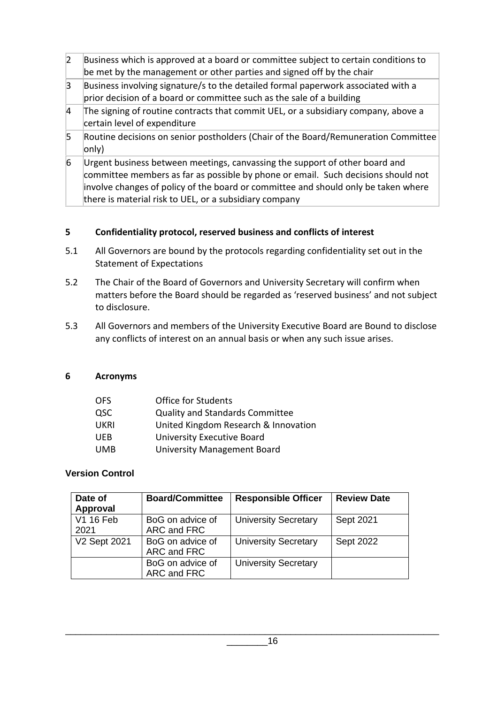- $2$  Business which is approved at a board or committee subject to certain conditions to be met by the management or other parties and signed off by the chair
- $3$  Business involving signature/s to the detailed formal paperwork associated with a prior decision of a board or committee such as the sale of a building
- $4$  The signing of routine contracts that commit UEL, or a subsidiary company, above a certain level of expenditure
- 5 Routine decisions on senior postholders (Chair of the Board/Remuneration Committee only)
- $6$  Urgent business between meetings, canvassing the support of other board and committee members as far as possible by phone or email. Such decisions should not involve changes of policy of the board or committee and should only be taken where there is material risk to UEL, or a subsidiary company

# **5 Confidentiality protocol, reserved business and conflicts of interest**

- 5.1 All Governors are bound by the protocols regarding confidentiality set out in the Statement of Expectations
- 5.2 The Chair of the Board of Governors and University Secretary will confirm when matters before the Board should be regarded as 'reserved business' and not subject to disclosure.
- 5.3 All Governors and members of the University Executive Board are Bound to disclose any conflicts of interest on an annual basis or when any such issue arises.

#### **6 Acronyms**

| OFS.       | <b>Office for Students</b>             |
|------------|----------------------------------------|
| QSC        | <b>Quality and Standards Committee</b> |
| UKRI       | United Kingdom Research & Innovation   |
| <b>UEB</b> | University Executive Board             |
| UMB        | <b>University Management Board</b>     |

# **Version Control**

| Date of<br>Approval | <b>Board/Committee</b>          | <b>Responsible Officer</b>  | <b>Review Date</b> |
|---------------------|---------------------------------|-----------------------------|--------------------|
| V1 16 Feb<br>2021   | BoG on advice of<br>ARC and FRC | <b>University Secretary</b> | Sept 2021          |
| V2 Sept 2021        | BoG on advice of<br>ARC and FRC | <b>University Secretary</b> | Sept 2022          |
|                     | BoG on advice of<br>ARC and FRC | <b>University Secretary</b> |                    |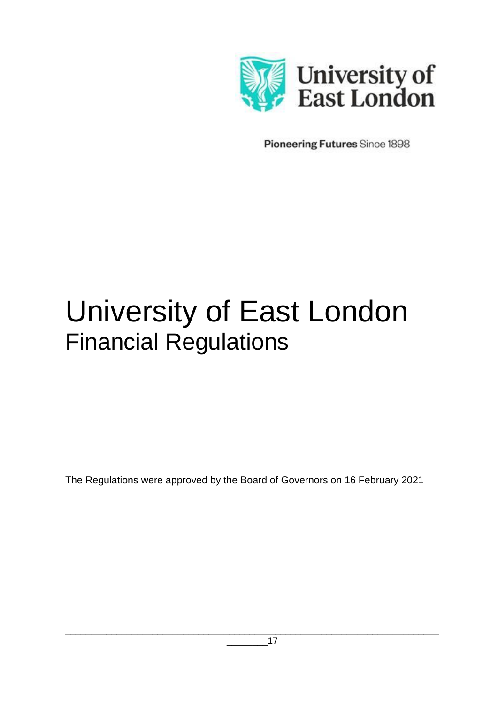

Pioneering Futures Since 1898

# University of East London Financial Regulations

The Regulations were approved by the Board of Governors on 16 February 2021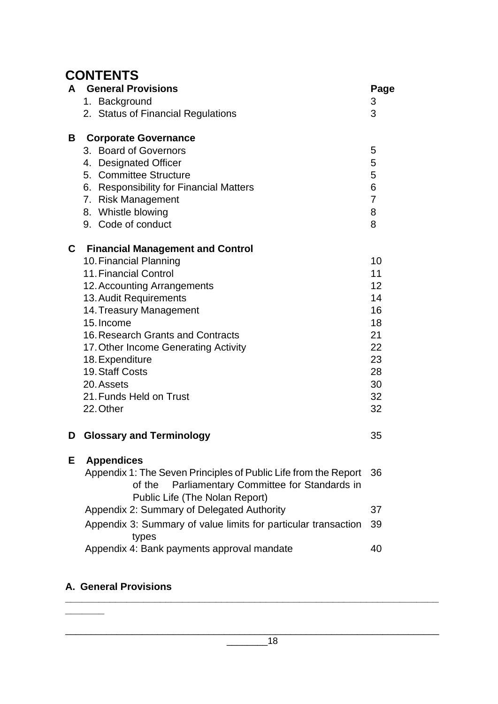# **CONTENTS**

| A | <b>General Provisions</b>                                                            | Page           |
|---|--------------------------------------------------------------------------------------|----------------|
|   | 1. Background                                                                        | 3              |
|   | 2. Status of Financial Regulations                                                   | 3              |
| В | <b>Corporate Governance</b>                                                          |                |
|   | 3. Board of Governors                                                                | 5              |
|   | 4. Designated Officer                                                                | 5              |
|   | 5. Committee Structure                                                               | 5              |
|   | 6. Responsibility for Financial Matters                                              | 6              |
|   | 7. Risk Management                                                                   | $\overline{7}$ |
|   | 8. Whistle blowing                                                                   | 8              |
|   | 9. Code of conduct                                                                   | 8              |
| C | <b>Financial Management and Control</b>                                              |                |
|   | 10. Financial Planning                                                               | 10             |
|   | 11. Financial Control                                                                | 11             |
|   | 12. Accounting Arrangements                                                          | 12             |
|   | 13. Audit Requirements                                                               | 14             |
|   | 14. Treasury Management                                                              | 16             |
|   | 15. Income                                                                           | 18             |
|   | 16. Research Grants and Contracts                                                    | 21             |
|   | 17. Other Income Generating Activity                                                 | 22             |
|   | 18. Expenditure                                                                      | 23             |
|   | 19. Staff Costs                                                                      | 28             |
|   | 20. Assets                                                                           | 30             |
|   | 21. Funds Held on Trust                                                              | 32             |
|   | 22. Other                                                                            | 32             |
| D | <b>Glossary and Terminology</b>                                                      | 35             |
| Е | <b>Appendices</b>                                                                    |                |
|   | Appendix 1: The Seven Principles of Public Life from the Report                      | 36             |
|   | Parliamentary Committee for Standards in<br>of the<br>Public Life (The Nolan Report) |                |
|   | Appendix 2: Summary of Delegated Authority                                           | 37             |
|   |                                                                                      |                |
|   | Appendix 3: Summary of value limits for particular transaction<br>types              | 39             |
|   | Appendix 4: Bank payments approval mandate                                           | 40             |
|   |                                                                                      |                |

#### **A. General Provisions \_\_\_\_\_\_\_\_\_\_\_\_\_\_\_\_\_\_\_\_\_\_\_\_\_\_\_\_\_\_\_\_\_\_\_\_\_\_\_\_\_\_\_\_\_\_\_\_\_\_\_\_\_\_\_\_\_\_\_\_\_\_\_\_\_\_\_**

**\_\_\_\_\_\_\_**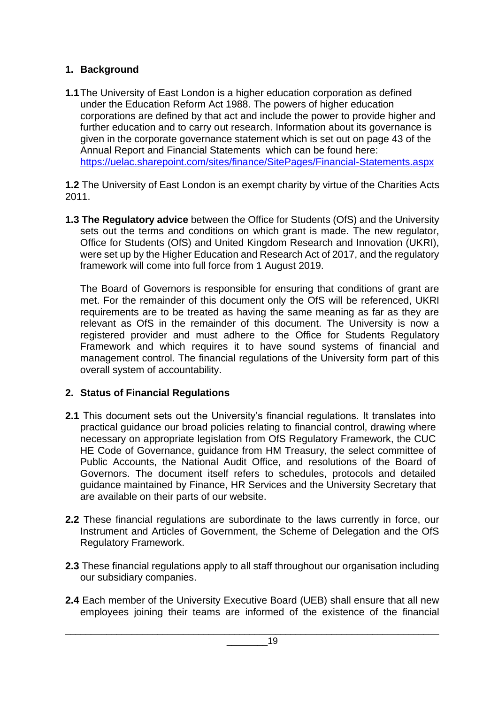# **1. Background**

**1.1**The University of East London is a higher education corporation as defined under the Education Reform Act 1988. The powers of higher education corporations are defined by that act and include the power to provide higher and further education and to carry out research. Information about its governance is given in the corporate governance statement which is set out on page 43 of the Annual Report and Financial Statements which can be found here: <https://uelac.sharepoint.com/sites/finance/SitePages/Financial-Statements.aspx>

**1.2** The University of East London is an exempt charity by virtue of the Charities Acts 2011.

**1.3 The Regulatory advice** between the Office for Students (OfS) and the University sets out the terms and conditions on which grant is made. The new regulator, Office for Students (OfS) and United Kingdom Research and Innovation (UKRI), were set up by the Higher Education and Research Act of 2017, and the regulatory framework will come into full force from 1 August 2019.

The Board of Governors is responsible for ensuring that conditions of grant are met. For the remainder of this document only the OfS will be referenced, UKRI requirements are to be treated as having the same meaning as far as they are relevant as OfS in the remainder of this document. The University is now a registered provider and must adhere to the Office for Students Regulatory Framework and which requires it to have sound systems of financial and management control. The financial regulations of the University form part of this overall system of accountability.

# **2. Status of Financial Regulations**

- **2.1** This document sets out the University's financial regulations. It translates into practical guidance our broad policies relating to financial control, drawing where necessary on appropriate legislation from OfS Regulatory Framework, the CUC HE Code of Governance, guidance from HM Treasury, the select committee of Public Accounts, the National Audit Office, and resolutions of the Board of Governors. The document itself refers to schedules, protocols and detailed guidance maintained by Finance, HR Services and the University Secretary that are available on their parts of our website.
- **2.2** These financial regulations are subordinate to the laws currently in force, our Instrument and Articles of Government, the Scheme of Delegation and the OfS Regulatory Framework.
- **2.3** These financial regulations apply to all staff throughout our organisation including our subsidiary companies.
- **2.4** Each member of the University Executive Board (UEB) shall ensure that all new employees joining their teams are informed of the existence of the financial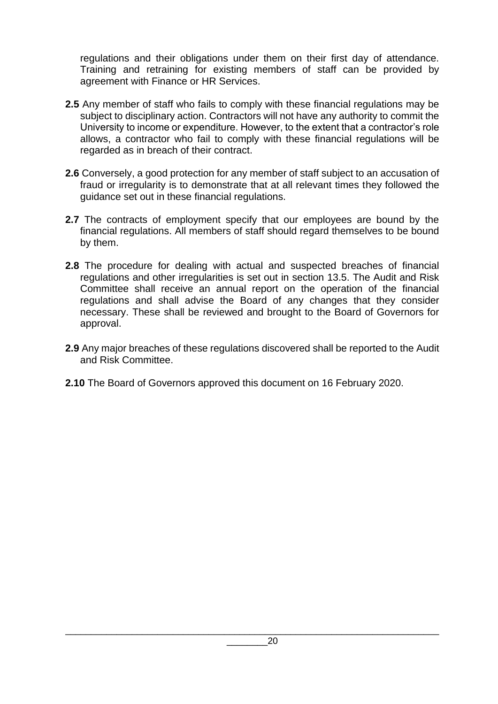regulations and their obligations under them on their first day of attendance. Training and retraining for existing members of staff can be provided by agreement with Finance or HR Services.

- **2.5** Any member of staff who fails to comply with these financial regulations may be subject to disciplinary action. Contractors will not have any authority to commit the University to income or expenditure. However, to the extent that a contractor's role allows, a contractor who fail to comply with these financial regulations will be regarded as in breach of their contract.
- **2.6** Conversely, a good protection for any member of staff subject to an accusation of fraud or irregularity is to demonstrate that at all relevant times they followed the guidance set out in these financial regulations.
- **2.7** The contracts of employment specify that our employees are bound by the financial regulations. All members of staff should regard themselves to be bound by them.
- **2.8** The procedure for dealing with actual and suspected breaches of financial regulations and other irregularities is set out in section 13.5. The Audit and Risk Committee shall receive an annual report on the operation of the financial regulations and shall advise the Board of any changes that they consider necessary. These shall be reviewed and brought to the Board of Governors for approval.
- **2.9** Any major breaches of these regulations discovered shall be reported to the Audit and Risk Committee.
- **2.10** The Board of Governors approved this document on 16 February 2020.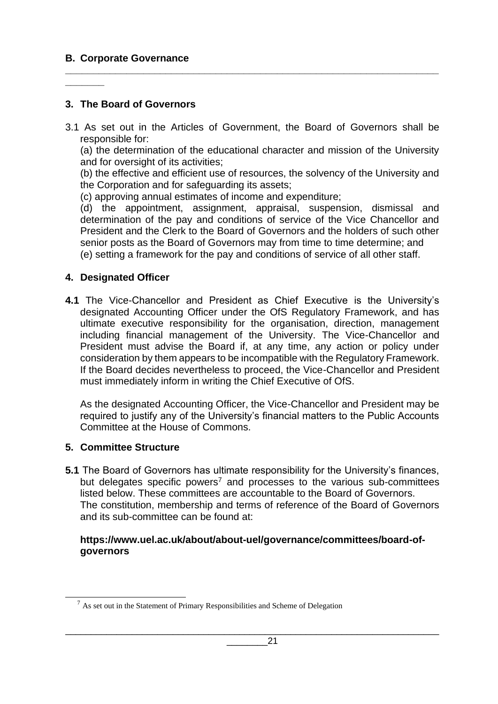# **B. Corporate Governance**

**\_\_\_\_\_\_\_**

# **3. The Board of Governors**

3.1 As set out in the Articles of Government, the Board of Governors shall be responsible for:

**\_\_\_\_\_\_\_\_\_\_\_\_\_\_\_\_\_\_\_\_\_\_\_\_\_\_\_\_\_\_\_\_\_\_\_\_\_\_\_\_\_\_\_\_\_\_\_\_\_\_\_\_\_\_\_\_\_\_\_\_\_\_\_\_\_\_\_**

(a) the determination of the educational character and mission of the University and for oversight of its activities;

(b) the effective and efficient use of resources, the solvency of the University and the Corporation and for safeguarding its assets;

(c) approving annual estimates of income and expenditure;

(d) the appointment, assignment, appraisal, suspension, dismissal and determination of the pay and conditions of service of the Vice Chancellor and President and the Clerk to the Board of Governors and the holders of such other senior posts as the Board of Governors may from time to time determine; and (e) setting a framework for the pay and conditions of service of all other staff.

#### **4. Designated Officer**

**4.1** The Vice-Chancellor and President as Chief Executive is the University's designated Accounting Officer under the OfS Regulatory Framework, and has ultimate executive responsibility for the organisation, direction, management including financial management of the University. The Vice-Chancellor and President must advise the Board if, at any time, any action or policy under consideration by them appears to be incompatible with the Regulatory Framework. If the Board decides nevertheless to proceed, the Vice-Chancellor and President must immediately inform in writing the Chief Executive of OfS.

As the designated Accounting Officer, the Vice-Chancellor and President may be required to justify any of the University's financial matters to the Public Accounts Committee at the House of Commons.

# **5. Committee Structure**

**5.1** The Board of Governors has ultimate responsibility for the University's finances, but delegates specific powers<sup>7</sup> and processes to the various sub-committees listed below. These committees are accountable to the Board of Governors. The constitution, membership and terms of reference of the Board of Governors and its sub-committee can be found at:

#### **https://www.uel.ac.uk/about/about-uel/governance/committees/board-ofgovernors**

 $<sup>7</sup>$  As set out in the Statement of Primary Responsibilities and Scheme of Delegation</sup>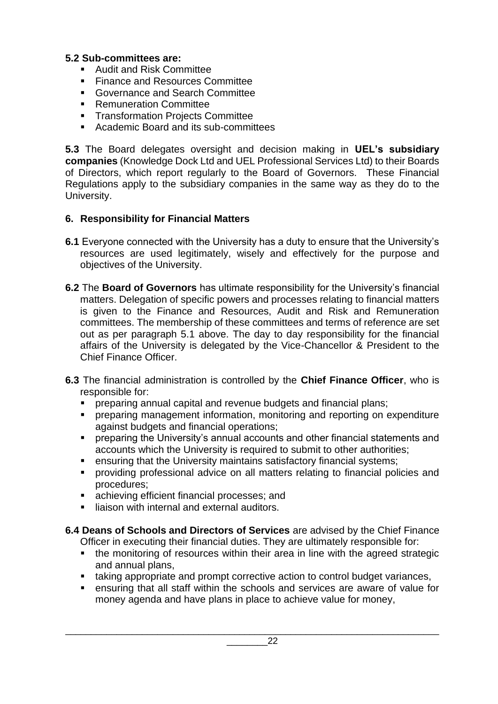# **5.2 Sub-committees are:**

- Audit and Risk Committee
- Finance and Resources Committee
- Governance and Search Committee
- Remuneration Committee
- Transformation Projects Committee
- Academic Board and its sub-committees

**5.3** The Board delegates oversight and decision making in **UEL's subsidiary companies** (Knowledge Dock Ltd and UEL Professional Services Ltd) to their Boards of Directors, which report regularly to the Board of Governors. These Financial Regulations apply to the subsidiary companies in the same way as they do to the University.

# **6. Responsibility for Financial Matters**

- **6.1** Everyone connected with the University has a duty to ensure that the University's resources are used legitimately, wisely and effectively for the purpose and objectives of the University.
- **6.2** The **Board of Governors** has ultimate responsibility for the University's financial matters. Delegation of specific powers and processes relating to financial matters is given to the Finance and Resources, Audit and Risk and Remuneration committees. The membership of these committees and terms of reference are set out as per paragraph 5.1 above. The day to day responsibility for the financial affairs of the University is delegated by the Vice-Chancellor & President to the Chief Finance Officer.
- **6.3** The financial administration is controlled by the **Chief Finance Officer**, who is responsible for:
	- preparing annual capital and revenue budgets and financial plans;
	- **•** preparing management information, monitoring and reporting on expenditure against budgets and financial operations;
	- preparing the University's annual accounts and other financial statements and accounts which the University is required to submit to other authorities;
	- ensuring that the University maintains satisfactory financial systems;
	- **•** providing professional advice on all matters relating to financial policies and procedures;
	- achieving efficient financial processes; and
	- liaison with internal and external auditors.
- **6.4 Deans of Schools and Directors of Services** are advised by the Chief Finance Officer in executing their financial duties. They are ultimately responsible for:
	- the monitoring of resources within their area in line with the agreed strategic and annual plans,
	- taking appropriate and prompt corrective action to control budget variances,

\_\_\_\_\_\_\_\_\_\_\_\_\_\_\_\_\_\_\_\_\_\_\_\_\_\_\_\_\_\_\_\_\_\_\_\_\_\_\_\_\_\_\_\_\_\_\_\_\_\_\_\_\_\_\_\_\_\_\_\_\_\_\_\_\_\_\_\_\_\_\_\_\_

■ ensuring that all staff within the schools and services are aware of value for money agenda and have plans in place to achieve value for money,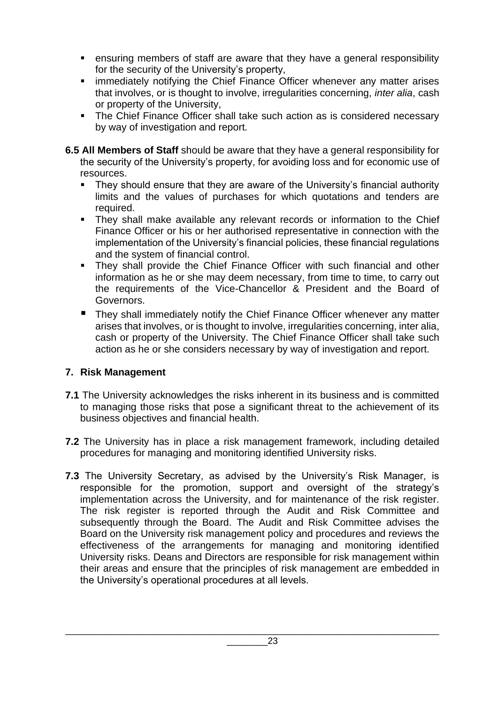- ensuring members of staff are aware that they have a general responsibility for the security of the University's property,
- **EXED IMM** immediately notifying the Chief Finance Officer whenever any matter arises that involves, or is thought to involve, irregularities concerning, *inter alia*, cash or property of the University,
- The Chief Finance Officer shall take such action as is considered necessary by way of investigation and report.
- **6.5 All Members of Staff** should be aware that they have a general responsibility for the security of the University's property, for avoiding loss and for economic use of resources.
	- They should ensure that they are aware of the University's financial authority limits and the values of purchases for which quotations and tenders are required.
	- They shall make available any relevant records or information to the Chief Finance Officer or his or her authorised representative in connection with the implementation of the University's financial policies, these financial regulations and the system of financial control.
	- **EXT** They shall provide the Chief Finance Officer with such financial and other information as he or she may deem necessary, from time to time, to carry out the requirements of the Vice-Chancellor & President and the Board of Governors.
	- They shall immediately notify the Chief Finance Officer whenever any matter arises that involves, or is thought to involve, irregularities concerning, inter alia, cash or property of the University. The Chief Finance Officer shall take such action as he or she considers necessary by way of investigation and report.

# **7. Risk Management**

- **7.1** The University acknowledges the risks inherent in its business and is committed to managing those risks that pose a significant threat to the achievement of its business objectives and financial health.
- **7.2** The University has in place a risk management framework, including detailed procedures for managing and monitoring identified University risks.
- **7.3** The University Secretary, as advised by the University's Risk Manager, is responsible for the promotion, support and oversight of the strategy's implementation across the University, and for maintenance of the risk register. The risk register is reported through the Audit and Risk Committee and subsequently through the Board. The Audit and Risk Committee advises the Board on the University risk management policy and procedures and reviews the effectiveness of the arrangements for managing and monitoring identified University risks. Deans and Directors are responsible for risk management within their areas and ensure that the principles of risk management are embedded in the University's operational procedures at all levels.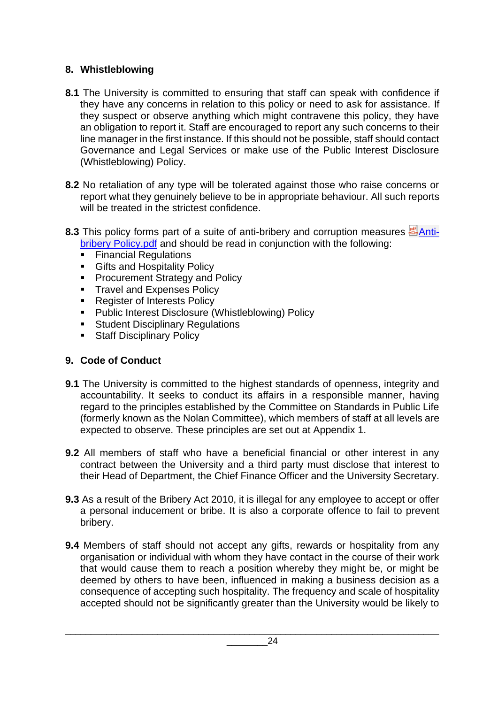# **8. Whistleblowing**

- **8.1** The University is committed to ensuring that staff can speak with confidence if they have any concerns in relation to this policy or need to ask for assistance. If they suspect or observe anything which might contravene this policy, they have an obligation to report it. Staff are encouraged to report any such concerns to their line manager in the first instance. If this should not be possible, staff should contact Governance and Legal Services or make use of the Public Interest Disclosure (Whistleblowing) Policy.
- **8.2** No retaliation of any type will be tolerated against those who raise concerns or report what they genuinely believe to be in appropriate behaviour. All such reports will be treated in the strictest confidence.
- 8.3 This policy forms part of a suite of anti-bribery and corruption measures  $\frac{d}{dx}$ [Anti](https://uelac.sharepoint.com/sites/hr/Shared%20Documents/Policies%202020/Anti-bribery%20Policy.pdf?web=1)[bribery Policy.pdf](https://uelac.sharepoint.com/sites/hr/Shared%20Documents/Policies%202020/Anti-bribery%20Policy.pdf?web=1) and should be read in conjunction with the following:
	- **Financial Regulations**
	- Gifts and Hospitality Policy
	- Procurement Strategy and Policy
	- **EXPENSES Policy Travel and Expenses Policy**
	- Register of Interests Policy
	- Public Interest Disclosure (Whistleblowing) Policy
	- Student Disciplinary Regulations
	- Staff Disciplinary Policy

# **9. Code of Conduct**

- **9.1** The University is committed to the highest standards of openness, integrity and accountability. It seeks to conduct its affairs in a responsible manner, having regard to the principles established by the Committee on Standards in Public Life (formerly known as the Nolan Committee), which members of staff at all levels are expected to observe. These principles are set out at Appendix 1.
- **9.2** All members of staff who have a beneficial financial or other interest in any contract between the University and a third party must disclose that interest to their Head of Department, the Chief Finance Officer and the University Secretary.
- **9.3** As a result of the Bribery Act 2010, it is illegal for any employee to accept or offer a personal inducement or bribe. It is also a corporate offence to fail to prevent bribery.
- **9.4** Members of staff should not accept any gifts, rewards or hospitality from any organisation or individual with whom they have contact in the course of their work that would cause them to reach a position whereby they might be, or might be deemed by others to have been, influenced in making a business decision as a consequence of accepting such hospitality. The frequency and scale of hospitality accepted should not be significantly greater than the University would be likely to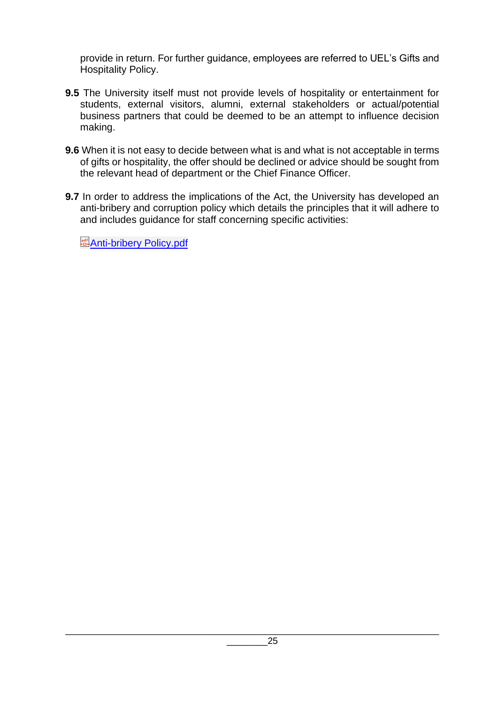provide in return. For further guidance, employees are referred to UEL's Gifts and Hospitality Policy.

- **9.5** The University itself must not provide levels of hospitality or entertainment for students, external visitors, alumni, external stakeholders or actual/potential business partners that could be deemed to be an attempt to influence decision making.
- **9.6** When it is not easy to decide between what is and what is not acceptable in terms of gifts or hospitality, the offer should be declined or advice should be sought from the relevant head of department or the Chief Finance Officer.
- **9.7** In order to address the implications of the Act, the University has developed an anti-bribery and corruption policy which details the principles that it will adhere to and includes guidance for staff concerning specific activities:

**[Anti-bribery Policy.pdf](https://uelac.sharepoint.com/sites/hr/Shared%20Documents/Policies%202020/Anti-bribery%20Policy.pdf?web=1)**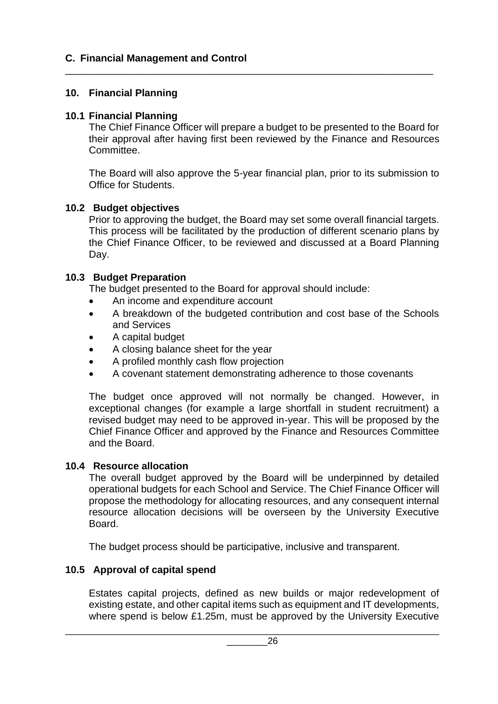# **C. Financial Management and Control**

## **10. Financial Planning**

#### **10.1 Financial Planning**

The Chief Finance Officer will prepare a budget to be presented to the Board for their approval after having first been reviewed by the Finance and Resources Committee.

\_\_\_\_\_\_\_\_\_\_\_\_\_\_\_\_\_\_\_\_\_\_\_\_\_\_\_\_\_\_\_\_\_\_\_\_\_\_\_\_\_\_\_\_\_\_\_\_\_\_\_\_\_\_\_\_\_\_\_\_\_\_\_\_\_\_

The Board will also approve the 5-year financial plan, prior to its submission to Office for Students.

#### **10.2 Budget objectives**

Prior to approving the budget, the Board may set some overall financial targets. This process will be facilitated by the production of different scenario plans by the Chief Finance Officer, to be reviewed and discussed at a Board Planning Day.

#### **10.3 Budget Preparation**

The budget presented to the Board for approval should include:

- An income and expenditure account
- A breakdown of the budgeted contribution and cost base of the Schools and Services
- A capital budget
- A closing balance sheet for the year
- A profiled monthly cash flow projection
- A covenant statement demonstrating adherence to those covenants

The budget once approved will not normally be changed. However, in exceptional changes (for example a large shortfall in student recruitment) a revised budget may need to be approved in-year. This will be proposed by the Chief Finance Officer and approved by the Finance and Resources Committee and the Board.

#### **10.4 Resource allocation**

The overall budget approved by the Board will be underpinned by detailed operational budgets for each School and Service. The Chief Finance Officer will propose the methodology for allocating resources, and any consequent internal resource allocation decisions will be overseen by the University Executive Board.

The budget process should be participative, inclusive and transparent.

# **10.5 Approval of capital spend**

Estates capital projects, defined as new builds or major redevelopment of existing estate, and other capital items such as equipment and IT developments, where spend is below £1.25m, must be approved by the University Executive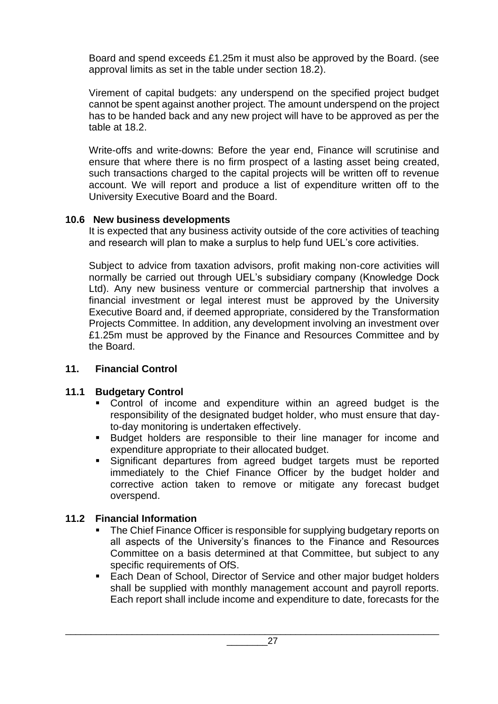Board and spend exceeds £1.25m it must also be approved by the Board. (see approval limits as set in the table under section 18.2).

Virement of capital budgets: any underspend on the specified project budget cannot be spent against another project. The amount underspend on the project has to be handed back and any new project will have to be approved as per the table at 18.2.

Write-offs and write-downs: Before the year end, Finance will scrutinise and ensure that where there is no firm prospect of a lasting asset being created, such transactions charged to the capital projects will be written off to revenue account. We will report and produce a list of expenditure written off to the University Executive Board and the Board.

# **10.6 New business developments**

It is expected that any business activity outside of the core activities of teaching and research will plan to make a surplus to help fund UEL's core activities.

Subject to advice from taxation advisors, profit making non-core activities will normally be carried out through UEL's subsidiary company (Knowledge Dock Ltd). Any new business venture or commercial partnership that involves a financial investment or legal interest must be approved by the University Executive Board and, if deemed appropriate, considered by the Transformation Projects Committee. In addition, any development involving an investment over £1.25m must be approved by the Finance and Resources Committee and by the Board.

# **11. Financial Control**

# **11.1 Budgetary Control**

- Control of income and expenditure within an agreed budget is the responsibility of the designated budget holder, who must ensure that dayto-day monitoring is undertaken effectively.
- Budget holders are responsible to their line manager for income and expenditure appropriate to their allocated budget.
- Significant departures from agreed budget targets must be reported immediately to the Chief Finance Officer by the budget holder and corrective action taken to remove or mitigate any forecast budget overspend.

# **11.2 Financial Information**

- The Chief Finance Officer is responsible for supplying budgetary reports on all aspects of the University's finances to the Finance and Resources Committee on a basis determined at that Committee, but subject to any specific requirements of OfS.
- Each Dean of School, Director of Service and other major budget holders shall be supplied with monthly management account and payroll reports. Each report shall include income and expenditure to date, forecasts for the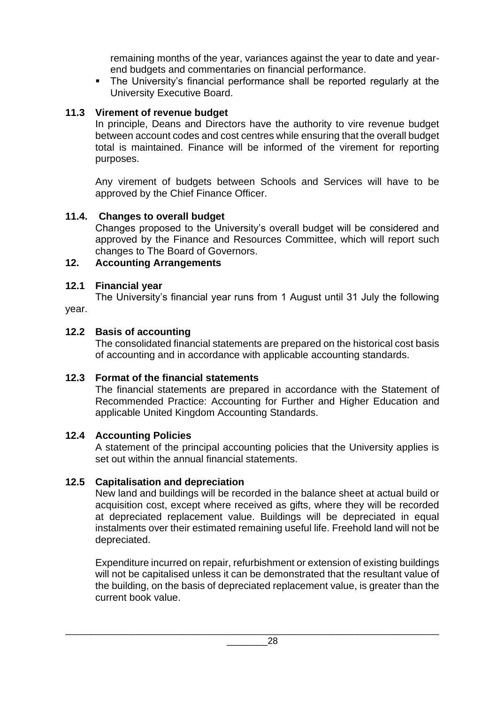remaining months of the year, variances against the year to date and yearend budgets and commentaries on financial performance.

■ The University's financial performance shall be reported regularly at the University Executive Board.

# **11.3 Virement of revenue budget**

In principle, Deans and Directors have the authority to vire revenue budget between account codes and cost centres while ensuring that the overall budget total is maintained. Finance will be informed of the virement for reporting purposes.

Any virement of budgets between Schools and Services will have to be approved by the Chief Finance Officer.

# **11.4. Changes to overall budget**

Changes proposed to the University's overall budget will be considered and approved by the Finance and Resources Committee, which will report such changes to The Board of Governors.

# **12. Accounting Arrangements**

# **12.1 Financial year**

The University's financial year runs from 1 August until 31 July the following year.

# **12.2 Basis of accounting**

The consolidated financial statements are prepared on the historical cost basis of accounting and in accordance with applicable accounting standards.

# **12.3 Format of the financial statements**

The financial statements are prepared in accordance with the Statement of Recommended Practice: Accounting for Further and Higher Education and applicable United Kingdom Accounting Standards.

# **12.4 Accounting Policies**

A statement of the principal accounting policies that the University applies is set out within the annual financial statements.

# **12.5 Capitalisation and depreciation**

New land and buildings will be recorded in the balance sheet at actual build or acquisition cost, except where received as gifts, where they will be recorded at depreciated replacement value. Buildings will be depreciated in equal instalments over their estimated remaining useful life. Freehold land will not be depreciated.

Expenditure incurred on repair, refurbishment or extension of existing buildings will not be capitalised unless it can be demonstrated that the resultant value of the building, on the basis of depreciated replacement value, is greater than the current book value.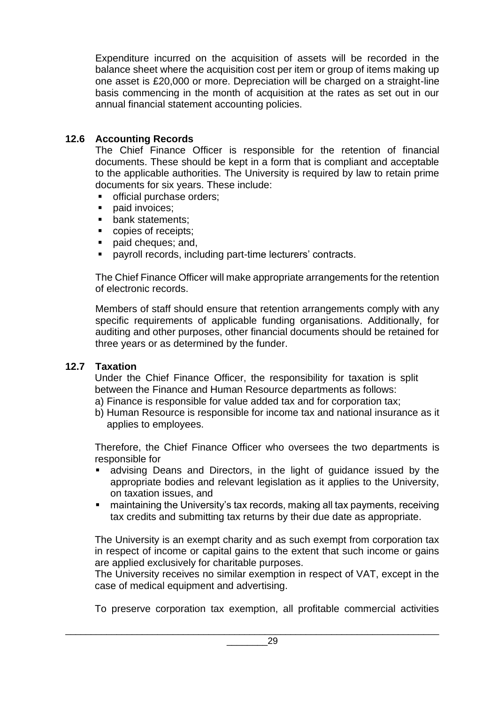Expenditure incurred on the acquisition of assets will be recorded in the balance sheet where the acquisition cost per item or group of items making up one asset is £20,000 or more. Depreciation will be charged on a straight-line basis commencing in the month of acquisition at the rates as set out in our annual financial statement accounting policies.

# **12.6 Accounting Records**

The Chief Finance Officer is responsible for the retention of financial documents. These should be kept in a form that is compliant and acceptable to the applicable authorities. The University is required by law to retain prime documents for six years. These include:

- official purchase orders;
- paid invoices:
- bank statements:
- copies of receipts:
- paid cheques; and,
- payroll records, including part-time lecturers' contracts.

The Chief Finance Officer will make appropriate arrangements for the retention of electronic records.

Members of staff should ensure that retention arrangements comply with any specific requirements of applicable funding organisations. Additionally, for auditing and other purposes, other financial documents should be retained for three years or as determined by the funder.

# **12.7 Taxation**

Under the Chief Finance Officer, the responsibility for taxation is split between the Finance and Human Resource departments as follows:

- a) Finance is responsible for value added tax and for corporation tax;
- b) Human Resource is responsible for income tax and national insurance as it applies to employees.

Therefore, the Chief Finance Officer who oversees the two departments is responsible for

- **Example 2** advising Deans and Directors, in the light of guidance issued by the appropriate bodies and relevant legislation as it applies to the University, on taxation issues, and
- maintaining the University's tax records, making all tax payments, receiving tax credits and submitting tax returns by their due date as appropriate.

The University is an exempt charity and as such exempt from corporation tax in respect of income or capital gains to the extent that such income or gains are applied exclusively for charitable purposes.

The University receives no similar exemption in respect of VAT, except in the case of medical equipment and advertising.

To preserve corporation tax exemption, all profitable commercial activities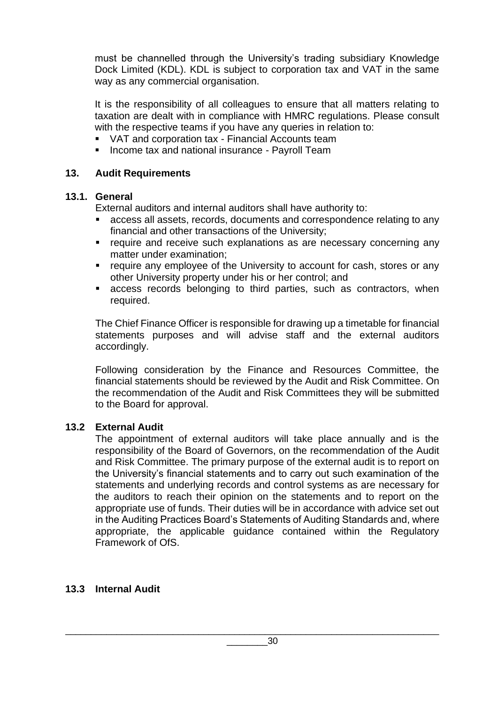must be channelled through the University's trading subsidiary Knowledge Dock Limited (KDL). KDL is subject to corporation tax and VAT in the same way as any commercial organisation.

It is the responsibility of all colleagues to ensure that all matters relating to taxation are dealt with in compliance with HMRC regulations. Please consult with the respective teams if you have any queries in relation to:

- VAT and corporation tax Financial Accounts team
- **EXEDENT Income tax and national insurance Payroll Team**

#### **13. Audit Requirements**

#### **13.1. General**

External auditors and internal auditors shall have authority to:

- access all assets, records, documents and correspondence relating to any financial and other transactions of the University;
- **EXECTE FEQUITE And receive such explanations as are necessary concerning any** matter under examination;
- require any employee of the University to account for cash, stores or any other University property under his or her control; and
- access records belonging to third parties, such as contractors, when required.

The Chief Finance Officer is responsible for drawing up a timetable for financial statements purposes and will advise staff and the external auditors accordingly.

Following consideration by the Finance and Resources Committee, the financial statements should be reviewed by the Audit and Risk Committee. On the recommendation of the Audit and Risk Committees they will be submitted to the Board for approval.

#### **13.2 External Audit**

The appointment of external auditors will take place annually and is the responsibility of the Board of Governors, on the recommendation of the Audit and Risk Committee. The primary purpose of the external audit is to report on the University's financial statements and to carry out such examination of the statements and underlying records and control systems as are necessary for the auditors to reach their opinion on the statements and to report on the appropriate use of funds. Their duties will be in accordance with advice set out in the Auditing Practices Board's Statements of Auditing Standards and, where appropriate, the applicable guidance contained within the Regulatory Framework of OfS.

#### **13.3 Internal Audit**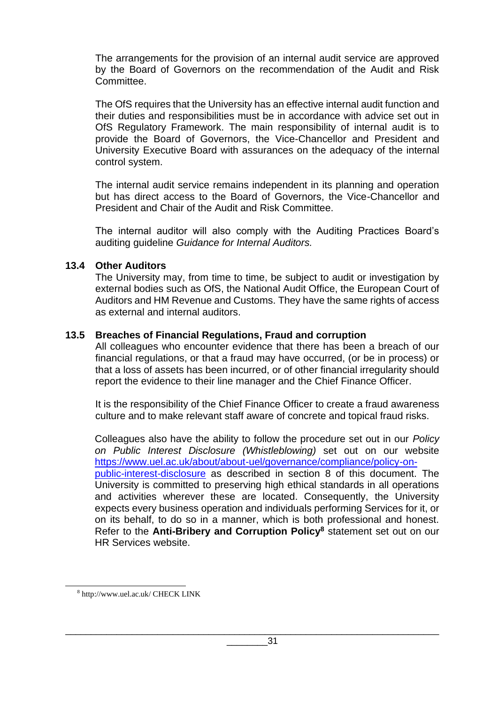The arrangements for the provision of an internal audit service are approved by the Board of Governors on the recommendation of the Audit and Risk Committee.

The OfS requires that the University has an effective internal audit function and their duties and responsibilities must be in accordance with advice set out in OfS Regulatory Framework. The main responsibility of internal audit is to provide the Board of Governors, the Vice-Chancellor and President and University Executive Board with assurances on the adequacy of the internal control system.

The internal audit service remains independent in its planning and operation but has direct access to the Board of Governors, the Vice-Chancellor and President and Chair of the Audit and Risk Committee.

The internal auditor will also comply with the Auditing Practices Board's auditing guideline *Guidance for Internal Auditors.*

#### **13.4 Other Auditors**

The University may, from time to time, be subject to audit or investigation by external bodies such as OfS, the National Audit Office, the European Court of Auditors and HM Revenue and Customs. They have the same rights of access as external and internal auditors.

#### **13.5 Breaches of Financial Regulations, Fraud and corruption**

All colleagues who encounter evidence that there has been a breach of our financial regulations, or that a fraud may have occurred, (or be in process) or that a loss of assets has been incurred, or of other financial irregularity should report the evidence to their line manager and the Chief Finance Officer.

It is the responsibility of the Chief Finance Officer to create a fraud awareness culture and to make relevant staff aware of concrete and topical fraud risks.

Colleagues also have the ability to follow the procedure set out in our *Policy on Public Interest Disclosure (Whistleblowing)* set out on our website [https://www.uel.ac.uk/about/about-uel/governance/compliance/policy-on](https://www.uel.ac.uk/about/about-uel/governance/compliance/policy-on-public-interest-disclosure)[public-interest-disclosure](https://www.uel.ac.uk/about/about-uel/governance/compliance/policy-on-public-interest-disclosure) as described in section 8 of this document. The University is committed to preserving high ethical standards in all operations and activities wherever these are located. Consequently, the University expects every business operation and individuals performing Services for it, or on its behalf, to do so in a manner, which is both professional and honest. Refer to the **Anti-Bribery and Corruption Policy<sup>8</sup>** statement set out on our HR Services website.

<sup>8</sup> http://www.uel.ac.uk/ CHECK LINK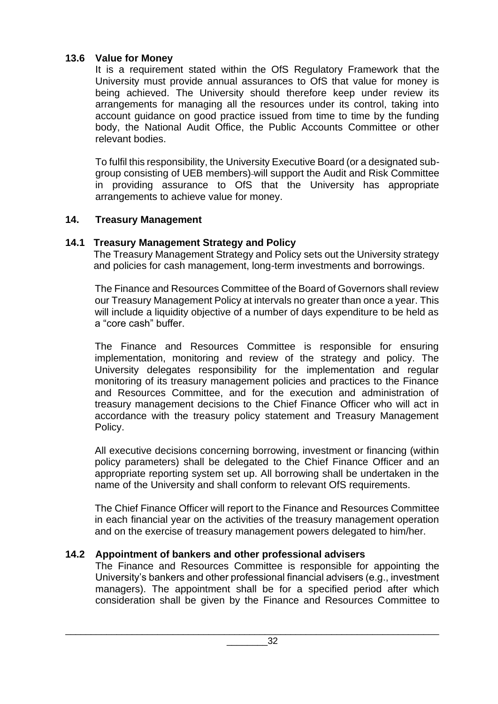# **13.6 Value for Money**

It is a requirement stated within the OfS Regulatory Framework that the University must provide annual assurances to OfS that value for money is being achieved. The University should therefore keep under review its arrangements for managing all the resources under its control, taking into account guidance on good practice issued from time to time by the funding body, the National Audit Office, the Public Accounts Committee or other relevant bodies.

To fulfil this responsibility, the University Executive Board (or a designated subgroup consisting of UEB members) will support the Audit and Risk Committee in providing assurance to OfS that the University has appropriate arrangements to achieve value for money.

# **14. Treasury Management**

# **14.1 Treasury Management Strategy and Policy**

The Treasury Management Strategy and Policy sets out the University strategy and policies for cash management, long-term investments and borrowings.

The Finance and Resources Committee of the Board of Governors shall review our Treasury Management Policy at intervals no greater than once a year. This will include a liquidity objective of a number of days expenditure to be held as a "core cash" buffer.

The Finance and Resources Committee is responsible for ensuring implementation, monitoring and review of the strategy and policy. The University delegates responsibility for the implementation and regular monitoring of its treasury management policies and practices to the Finance and Resources Committee, and for the execution and administration of treasury management decisions to the Chief Finance Officer who will act in accordance with the treasury policy statement and Treasury Management Policy.

All executive decisions concerning borrowing, investment or financing (within policy parameters) shall be delegated to the Chief Finance Officer and an appropriate reporting system set up. All borrowing shall be undertaken in the name of the University and shall conform to relevant OfS requirements.

The Chief Finance Officer will report to the Finance and Resources Committee in each financial year on the activities of the treasury management operation and on the exercise of treasury management powers delegated to him/her.

# **14.2 Appointment of bankers and other professional advisers**

The Finance and Resources Committee is responsible for appointing the University's bankers and other professional financial advisers (e.g., investment managers). The appointment shall be for a specified period after which consideration shall be given by the Finance and Resources Committee to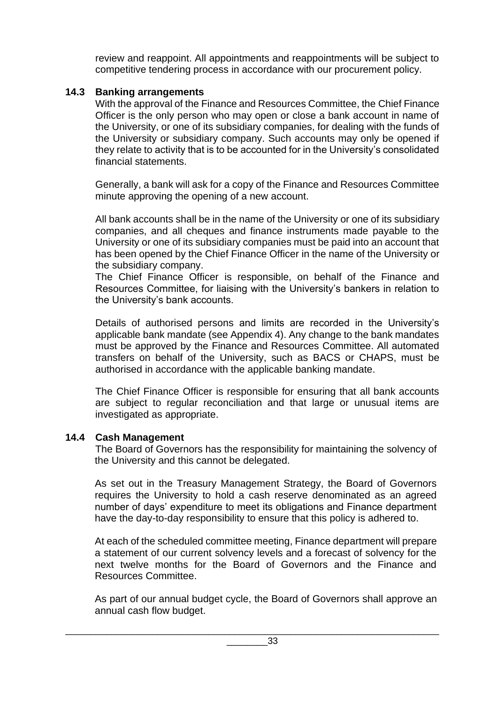review and reappoint. All appointments and reappointments will be subject to competitive tendering process in accordance with our procurement policy.

## **14.3 Banking arrangements**

With the approval of the Finance and Resources Committee, the Chief Finance Officer is the only person who may open or close a bank account in name of the University, or one of its subsidiary companies, for dealing with the funds of the University or subsidiary company. Such accounts may only be opened if they relate to activity that is to be accounted for in the University's consolidated financial statements.

Generally, a bank will ask for a copy of the Finance and Resources Committee minute approving the opening of a new account.

All bank accounts shall be in the name of the University or one of its subsidiary companies, and all cheques and finance instruments made payable to the University or one of its subsidiary companies must be paid into an account that has been opened by the Chief Finance Officer in the name of the University or the subsidiary company.

The Chief Finance Officer is responsible, on behalf of the Finance and Resources Committee, for liaising with the University's bankers in relation to the University's bank accounts.

Details of authorised persons and limits are recorded in the University's applicable bank mandate (see Appendix 4). Any change to the bank mandates must be approved by the Finance and Resources Committee. All automated transfers on behalf of the University, such as BACS or CHAPS, must be authorised in accordance with the applicable banking mandate.

The Chief Finance Officer is responsible for ensuring that all bank accounts are subject to regular reconciliation and that large or unusual items are investigated as appropriate.

#### **14.4 Cash Management**

The Board of Governors has the responsibility for maintaining the solvency of the University and this cannot be delegated.

As set out in the Treasury Management Strategy, the Board of Governors requires the University to hold a cash reserve denominated as an agreed number of days' expenditure to meet its obligations and Finance department have the day-to-day responsibility to ensure that this policy is adhered to.

At each of the scheduled committee meeting, Finance department will prepare a statement of our current solvency levels and a forecast of solvency for the next twelve months for the Board of Governors and the Finance and Resources Committee.

As part of our annual budget cycle, the Board of Governors shall approve an annual cash flow budget.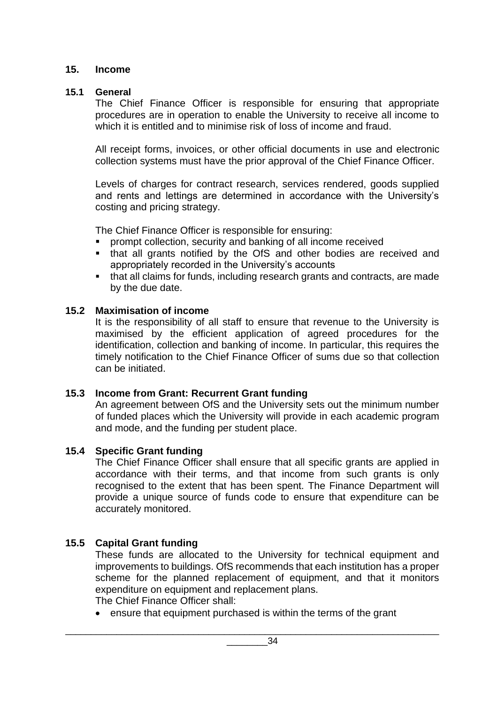#### **15. Income**

#### **15.1 General**

The Chief Finance Officer is responsible for ensuring that appropriate procedures are in operation to enable the University to receive all income to which it is entitled and to minimise risk of loss of income and fraud.

All receipt forms, invoices, or other official documents in use and electronic collection systems must have the prior approval of the Chief Finance Officer.

Levels of charges for contract research, services rendered, goods supplied and rents and lettings are determined in accordance with the University's costing and pricing strategy.

The Chief Finance Officer is responsible for ensuring:

- prompt collection, security and banking of all income received
- that all grants notified by the OfS and other bodies are received and appropriately recorded in the University's accounts
- that all claims for funds, including research grants and contracts, are made by the due date.

#### **15.2 Maximisation of income**

It is the responsibility of all staff to ensure that revenue to the University is maximised by the efficient application of agreed procedures for the identification, collection and banking of income. In particular, this requires the timely notification to the Chief Finance Officer of sums due so that collection can be initiated.

# **15.3 Income from Grant: Recurrent Grant funding**

An agreement between OfS and the University sets out the minimum number of funded places which the University will provide in each academic program and mode, and the funding per student place.

# **15.4 Specific Grant funding**

The Chief Finance Officer shall ensure that all specific grants are applied in accordance with their terms, and that income from such grants is only recognised to the extent that has been spent. The Finance Department will provide a unique source of funds code to ensure that expenditure can be accurately monitored.

# **15.5 Capital Grant funding**

These funds are allocated to the University for technical equipment and improvements to buildings. OfS recommends that each institution has a proper scheme for the planned replacement of equipment, and that it monitors expenditure on equipment and replacement plans.

The Chief Finance Officer shall:

• ensure that equipment purchased is within the terms of the grant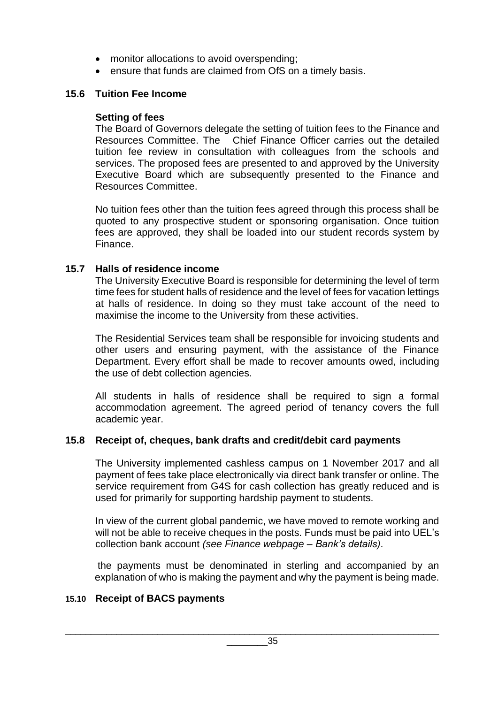- monitor allocations to avoid overspending;
- ensure that funds are claimed from OfS on a timely basis.

# **15.6 Tuition Fee Income**

## **Setting of fees**

The Board of Governors delegate the setting of tuition fees to the Finance and Resources Committee. The Chief Finance Officer carries out the detailed tuition fee review in consultation with colleagues from the schools and services. The proposed fees are presented to and approved by the University Executive Board which are subsequently presented to the Finance and Resources Committee.

No tuition fees other than the tuition fees agreed through this process shall be quoted to any prospective student or sponsoring organisation. Once tuition fees are approved, they shall be loaded into our student records system by Finance.

# **15.7 Halls of residence income**

The University Executive Board is responsible for determining the level of term time fees for student halls of residence and the level of fees for vacation lettings at halls of residence. In doing so they must take account of the need to maximise the income to the University from these activities.

The Residential Services team shall be responsible for invoicing students and other users and ensuring payment, with the assistance of the Finance Department. Every effort shall be made to recover amounts owed, including the use of debt collection agencies.

All students in halls of residence shall be required to sign a formal accommodation agreement. The agreed period of tenancy covers the full academic year.

#### **15.8 Receipt of, cheques, bank drafts and credit/debit card payments**

The University implemented cashless campus on 1 November 2017 and all payment of fees take place electronically via direct bank transfer or online. The service requirement from G4S for cash collection has greatly reduced and is used for primarily for supporting hardship payment to students.

In view of the current global pandemic, we have moved to remote working and will not be able to receive cheques in the posts. Funds must be paid into UEL's collection bank account *(see Finance webpage – Bank's details)*.

the payments must be denominated in sterling and accompanied by an explanation of who is making the payment and why the payment is being made.

# **15.10 Receipt of BACS payments**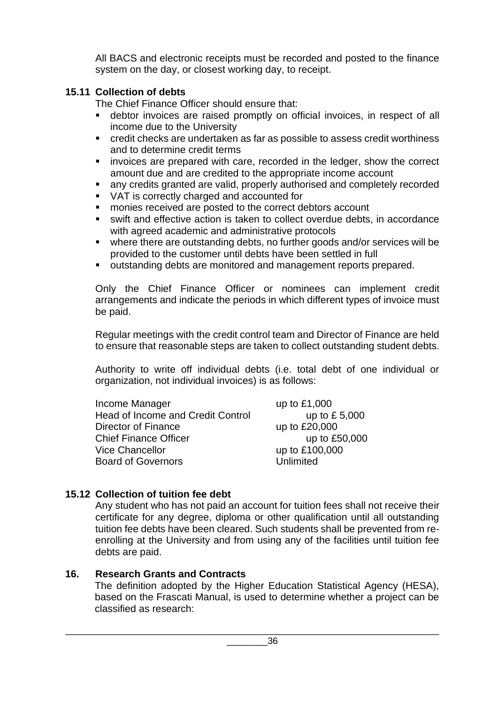All BACS and electronic receipts must be recorded and posted to the finance system on the day, or closest working day, to receipt.

# **15.11 Collection of debts**

The Chief Finance Officer should ensure that:

- debtor invoices are raised promptly on official invoices, in respect of all income due to the University
- credit checks are undertaken as far as possible to assess credit worthiness and to determine credit terms
- **EXED** invoices are prepared with care, recorded in the ledger, show the correct amount due and are credited to the appropriate income account
- any credits granted are valid, properly authorised and completely recorded
- VAT is correctly charged and accounted for
- monies received are posted to the correct debtors account
- swift and effective action is taken to collect overdue debts, in accordance with agreed academic and administrative protocols
- where there are outstanding debts, no further goods and/or services will be provided to the customer until debts have been settled in full
- outstanding debts are monitored and management reports prepared.

Only the Chief Finance Officer or nominees can implement credit arrangements and indicate the periods in which different types of invoice must be paid.

Regular meetings with the credit control team and Director of Finance are held to ensure that reasonable steps are taken to collect outstanding student debts.

Authority to write off individual debts (i.e. total debt of one individual or organization, not individual invoices) is as follows:

| Income Manager                           | up to £1,000   |
|------------------------------------------|----------------|
| <b>Head of Income and Credit Control</b> | up to £5,000   |
| Director of Finance                      | up to £20,000  |
| <b>Chief Finance Officer</b>             | up to £50,000  |
| <b>Vice Chancellor</b>                   | up to £100,000 |
| <b>Board of Governors</b>                | Unlimited      |

# **15.12 Collection of tuition fee debt**

Any student who has not paid an account for tuition fees shall not receive their certificate for any degree, diploma or other qualification until all outstanding tuition fee debts have been cleared. Such students shall be prevented from reenrolling at the University and from using any of the facilities until tuition fee debts are paid.

# **16. Research Grants and Contracts**

The definition adopted by the Higher Education Statistical Agency (HESA), based on the Frascati Manual, is used to determine whether a project can be classified as research: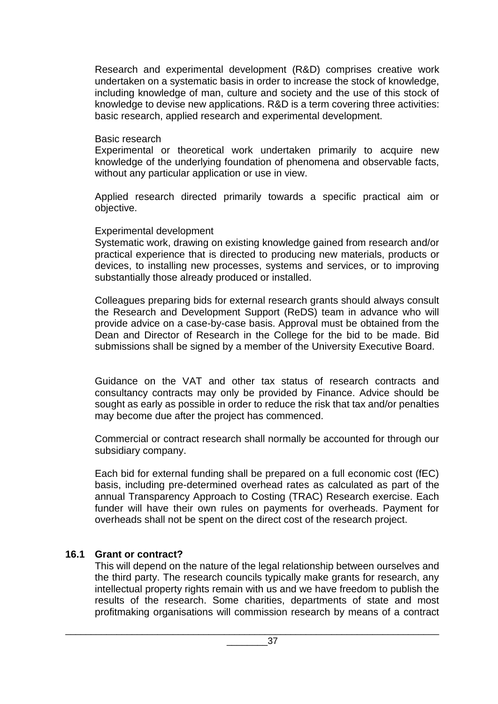Research and experimental development (R&D) comprises creative work undertaken on a systematic basis in order to increase the stock of knowledge, including knowledge of man, culture and society and the use of this stock of knowledge to devise new applications. R&D is a term covering three activities: basic research, applied research and experimental development.

#### Basic research

Experimental or theoretical work undertaken primarily to acquire new knowledge of the underlying foundation of phenomena and observable facts, without any particular application or use in view.

Applied research directed primarily towards a specific practical aim or objective.

#### Experimental development

Systematic work, drawing on existing knowledge gained from research and/or practical experience that is directed to producing new materials, products or devices, to installing new processes, systems and services, or to improving substantially those already produced or installed.

Colleagues preparing bids for external research grants should always consult the Research and Development Support (ReDS) team in advance who will provide advice on a case-by-case basis. Approval must be obtained from the Dean and Director of Research in the College for the bid to be made. Bid submissions shall be signed by a member of the University Executive Board.

Guidance on the VAT and other tax status of research contracts and consultancy contracts may only be provided by Finance. Advice should be sought as early as possible in order to reduce the risk that tax and/or penalties may become due after the project has commenced.

Commercial or contract research shall normally be accounted for through our subsidiary company.

Each bid for external funding shall be prepared on a full economic cost (fEC) basis, including pre-determined overhead rates as calculated as part of the annual Transparency Approach to Costing (TRAC) Research exercise. Each funder will have their own rules on payments for overheads. Payment for overheads shall not be spent on the direct cost of the research project.

# **16.1 Grant or contract?**

This will depend on the nature of the legal relationship between ourselves and the third party. The research councils typically make grants for research, any intellectual property rights remain with us and we have freedom to publish the results of the research. Some charities, departments of state and most profitmaking organisations will commission research by means of a contract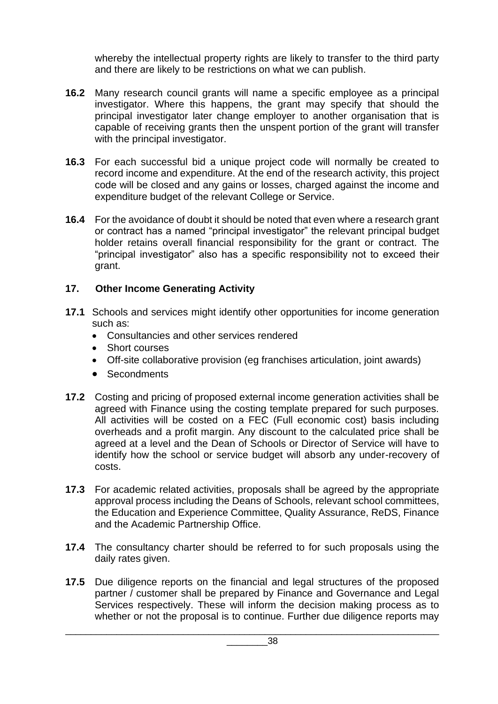whereby the intellectual property rights are likely to transfer to the third party and there are likely to be restrictions on what we can publish.

- **16.2** Many research council grants will name a specific employee as a principal investigator. Where this happens, the grant may specify that should the principal investigator later change employer to another organisation that is capable of receiving grants then the unspent portion of the grant will transfer with the principal investigator.
- **16.3** For each successful bid a unique project code will normally be created to record income and expenditure. At the end of the research activity, this project code will be closed and any gains or losses, charged against the income and expenditure budget of the relevant College or Service.
- **16.4** For the avoidance of doubt it should be noted that even where a research grant or contract has a named "principal investigator" the relevant principal budget holder retains overall financial responsibility for the grant or contract. The "principal investigator" also has a specific responsibility not to exceed their grant.

# **17. Other Income Generating Activity**

- **17.1** Schools and services might identify other opportunities for income generation such as:
	- Consultancies and other services rendered
	- Short courses
	- Off-site collaborative provision (eg franchises articulation, joint awards)
	- Secondments
- **17.2** Costing and pricing of proposed external income generation activities shall be agreed with Finance using the costing template prepared for such purposes. All activities will be costed on a FEC (Full economic cost) basis including overheads and a profit margin. Any discount to the calculated price shall be agreed at a level and the Dean of Schools or Director of Service will have to identify how the school or service budget will absorb any under-recovery of costs.
- **17.3** For academic related activities, proposals shall be agreed by the appropriate approval process including the Deans of Schools, relevant school committees, the Education and Experience Committee, Quality Assurance, ReDS, Finance and the Academic Partnership Office.
- **17.4** The consultancy charter should be referred to for such proposals using the daily rates given.
- **17.5** Due diligence reports on the financial and legal structures of the proposed partner / customer shall be prepared by Finance and Governance and Legal Services respectively. These will inform the decision making process as to whether or not the proposal is to continue. Further due diligence reports may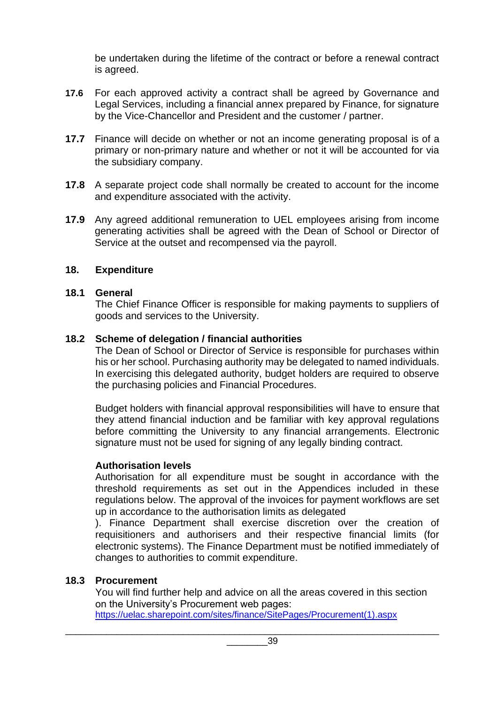be undertaken during the lifetime of the contract or before a renewal contract is agreed.

- **17.6** For each approved activity a contract shall be agreed by Governance and Legal Services, including a financial annex prepared by Finance, for signature by the Vice-Chancellor and President and the customer / partner.
- **17.7** Finance will decide on whether or not an income generating proposal is of a primary or non-primary nature and whether or not it will be accounted for via the subsidiary company.
- **17.8** A separate project code shall normally be created to account for the income and expenditure associated with the activity.
- **17.9** Any agreed additional remuneration to UEL employees arising from income generating activities shall be agreed with the Dean of School or Director of Service at the outset and recompensed via the payroll.

#### **18. Expenditure**

#### **18.1 General**

The Chief Finance Officer is responsible for making payments to suppliers of goods and services to the University.

#### **18.2 Scheme of delegation / financial authorities**

The Dean of School or Director of Service is responsible for purchases within his or her school. Purchasing authority may be delegated to named individuals. In exercising this delegated authority, budget holders are required to observe the purchasing policies and Financial Procedures.

Budget holders with financial approval responsibilities will have to ensure that they attend financial induction and be familiar with key approval regulations before committing the University to any financial arrangements. Electronic signature must not be used for signing of any legally binding contract.

# **Authorisation levels**

Authorisation for all expenditure must be sought in accordance with the threshold requirements as set out in the Appendices included in these regulations below. The approval of the invoices for payment workflows are set up in accordance to the authorisation limits as delegated

). Finance Department shall exercise discretion over the creation of requisitioners and authorisers and their respective financial limits (for electronic systems). The Finance Department must be notified immediately of changes to authorities to commit expenditure.

#### **18.3 Procurement**

You will find further help and advice on all the areas covered in this section on the University's Procurement web pages: [https://uelac.sharepoint.com/sites/finance/SitePages/Procurement\(1\).aspx](https://uelac.sharepoint.com/sites/finance/SitePages/Procurement(1).aspx)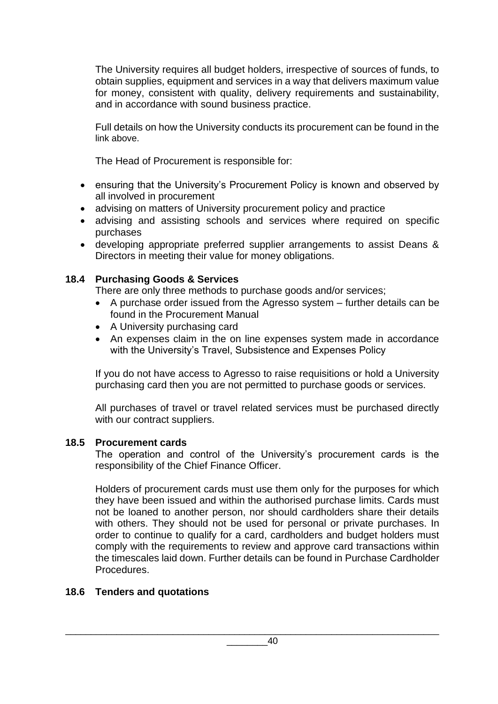The University requires all budget holders, irrespective of sources of funds, to obtain supplies, equipment and services in a way that delivers maximum value for money, consistent with quality, delivery requirements and sustainability, and in accordance with sound business practice.

Full details on how the University conducts its procurement can be found in the link above.

The Head of Procurement is responsible for:

- ensuring that the University's Procurement Policy is known and observed by all involved in procurement
- advising on matters of University procurement policy and practice
- advising and assisting schools and services where required on specific purchases
- developing appropriate preferred supplier arrangements to assist Deans & Directors in meeting their value for money obligations.

# **18.4 Purchasing Goods & Services**

There are only three methods to purchase goods and/or services;

- A purchase order issued from the Agresso system further details can be found in the Procurement Manual
- A University purchasing card
- An expenses claim in the on line expenses system made in accordance with the University's Travel, Subsistence and Expenses Policy

If you do not have access to Agresso to raise requisitions or hold a University purchasing card then you are not permitted to purchase goods or services.

All purchases of travel or travel related services must be purchased directly with our contract suppliers.

# **18.5 Procurement cards**

The operation and control of the University's procurement cards is the responsibility of the Chief Finance Officer.

Holders of procurement cards must use them only for the purposes for which they have been issued and within the authorised purchase limits. Cards must not be loaned to another person, nor should cardholders share their details with others. They should not be used for personal or private purchases. In order to continue to qualify for a card, cardholders and budget holders must comply with the requirements to review and approve card transactions within the timescales laid down. Further details can be found in Purchase Cardholder Procedures.

# **18.6 Tenders and quotations**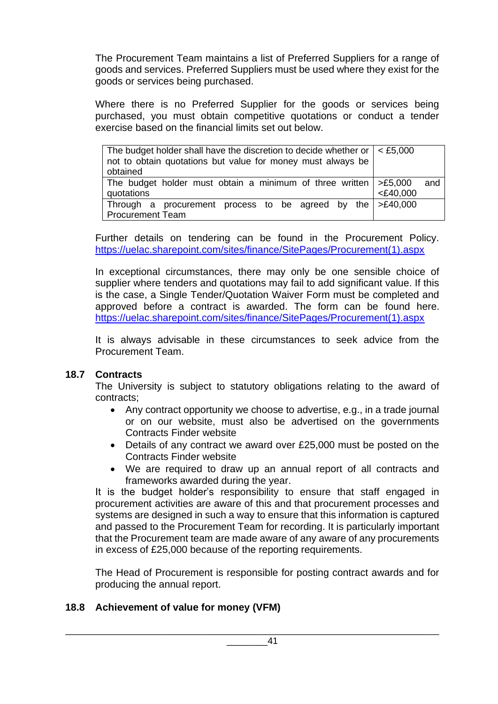The Procurement Team maintains a list of Preferred Suppliers for a range of goods and services. Preferred Suppliers must be used where they exist for the goods or services being purchased.

Where there is no Preferred Supplier for the goods or services being purchased, you must obtain competitive quotations or conduct a tender exercise based on the financial limits set out below.

| The budget holder shall have the discretion to decide whether or $\vert <$ £5,000<br>not to obtain quotations but value for money must always be<br>obtained |  |     |  |
|--------------------------------------------------------------------------------------------------------------------------------------------------------------|--|-----|--|
| The budget holder must obtain a minimum of three written $\geq$ £5,000                                                                                       |  | and |  |
| $<$ £40,000<br>quotations                                                                                                                                    |  |     |  |
| Through a procurement process to be agreed by the $\geq$ £40,000                                                                                             |  |     |  |
| <b>Procurement Team</b>                                                                                                                                      |  |     |  |

Further details on tendering can be found in the Procurement Policy. [https://uelac.sharepoint.com/sites/finance/SitePages/Procurement\(1\).aspx](https://uelac.sharepoint.com/sites/finance/SitePages/Procurement(1).aspx)

In exceptional circumstances, there may only be one sensible choice of supplier where tenders and quotations may fail to add significant value. If this is the case, a Single Tender/Quotation Waiver Form must be completed and approved before a contract is awarded. The form can be found here. [https://uelac.sharepoint.com/sites/finance/SitePages/Procurement\(1\).aspx](https://uelac.sharepoint.com/sites/finance/SitePages/Procurement(1).aspx)

It is always advisable in these circumstances to seek advice from the Procurement Team.

# **18.7 Contracts**

The University is subject to statutory obligations relating to the award of contracts;

- Any contract opportunity we choose to advertise, e.g., in a trade journal or on our website, must also be advertised on the governments Contracts Finder website
- Details of any contract we award over £25,000 must be posted on the Contracts Finder website
- We are required to draw up an annual report of all contracts and frameworks awarded during the year.

It is the budget holder's responsibility to ensure that staff engaged in procurement activities are aware of this and that procurement processes and systems are designed in such a way to ensure that this information is captured and passed to the Procurement Team for recording. It is particularly important that the Procurement team are made aware of any aware of any procurements in excess of £25,000 because of the reporting requirements.

The Head of Procurement is responsible for posting contract awards and for producing the annual report.

# **18.8 Achievement of value for money (VFM)**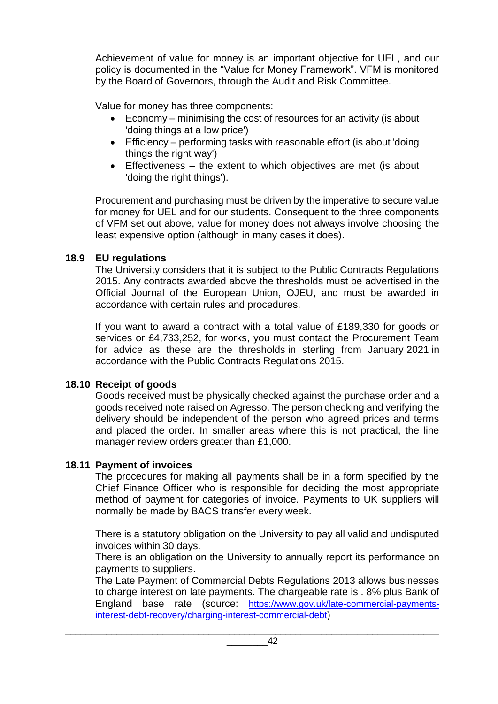Achievement of value for money is an important objective for UEL, and our policy is documented in the "Value for Money Framework". VFM is monitored by the Board of Governors, through the Audit and Risk Committee.

Value for money has three components:

- Economy minimising the cost of resources for an activity (is about 'doing things at a low price')
- Efficiency performing tasks with reasonable effort (is about 'doing things the right way')
- Effectiveness the extent to which objectives are met (is about 'doing the right things').

Procurement and purchasing must be driven by the imperative to secure value for money for UEL and for our students. Consequent to the three components of VFM set out above, value for money does not always involve choosing the least expensive option (although in many cases it does).

# **18.9 EU regulations**

The University considers that it is subject to the Public Contracts Regulations 2015. Any contracts awarded above the thresholds must be advertised in the Official Journal of the European Union, OJEU, and must be awarded in accordance with certain rules and procedures.

If you want to award a contract with a total value of £189,330 for goods or services or £4,733,252, for works, you must contact the Procurement Team for advice as these are the thresholds in sterling from January 2021 in accordance with the Public Contracts Regulations 2015.

# **18.10 Receipt of goods**

Goods received must be physically checked against the purchase order and a goods received note raised on Agresso. The person checking and verifying the delivery should be independent of the person who agreed prices and terms and placed the order. In smaller areas where this is not practical, the line manager review orders greater than £1,000.

# **18.11 Payment of invoices**

The procedures for making all payments shall be in a form specified by the Chief Finance Officer who is responsible for deciding the most appropriate method of payment for categories of invoice. Payments to UK suppliers will normally be made by BACS transfer every week.

There is a statutory obligation on the University to pay all valid and undisputed invoices within 30 days.

There is an obligation on the University to annually report its performance on payments to suppliers.

The Late Payment of Commercial Debts Regulations 2013 allows businesses to charge interest on late payments. The chargeable rate is . 8% plus Bank of England base rate (source: [https://www.gov.uk/late-commercial-payments](https://www.gov.uk/late-commercial-payments-interest-debt-recovery/charging-interest-commercial-debt)[interest-debt-recovery/charging-interest-commercial-debt](https://www.gov.uk/late-commercial-payments-interest-debt-recovery/charging-interest-commercial-debt))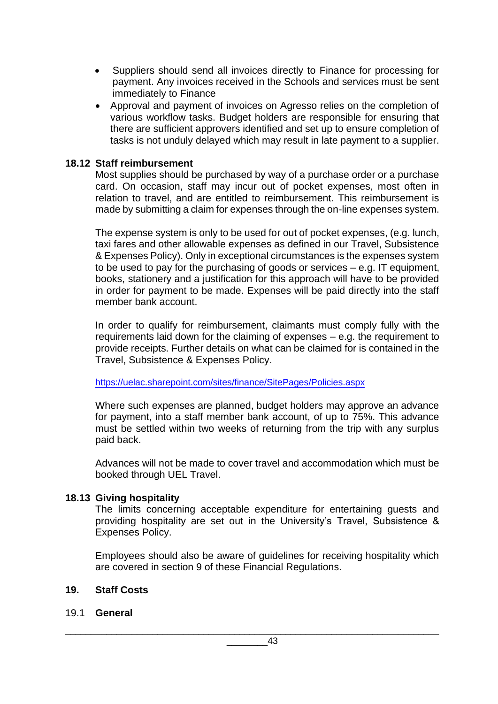- Suppliers should send all invoices directly to Finance for processing for payment. Any invoices received in the Schools and services must be sent immediately to Finance
- Approval and payment of invoices on Agresso relies on the completion of various workflow tasks. Budget holders are responsible for ensuring that there are sufficient approvers identified and set up to ensure completion of tasks is not unduly delayed which may result in late payment to a supplier.

#### **18.12 Staff reimbursement**

Most supplies should be purchased by way of a purchase order or a purchase card. On occasion, staff may incur out of pocket expenses, most often in relation to travel, and are entitled to reimbursement. This reimbursement is made by submitting a claim for expenses through the on-line expenses system.

The expense system is only to be used for out of pocket expenses, (e.g. lunch, taxi fares and other allowable expenses as defined in our Travel, Subsistence & Expenses Policy). Only in exceptional circumstances is the expenses system to be used to pay for the purchasing of goods or services – e.g. IT equipment, books, stationery and a justification for this approach will have to be provided in order for payment to be made. Expenses will be paid directly into the staff member bank account.

In order to qualify for reimbursement, claimants must comply fully with the requirements laid down for the claiming of expenses – e.g. the requirement to provide receipts. Further details on what can be claimed for is contained in the Travel, Subsistence & Expenses Policy.

https://uelac.sharepoint.com/sites/finance/SitePages/Policies.aspx

Where such expenses are planned, budget holders may approve an advance for payment, into a staff member bank account, of up to 75%. This advance must be settled within two weeks of returning from the trip with any surplus paid back.

Advances will not be made to cover travel and accommodation which must be booked through UEL Travel.

#### **18.13 Giving hospitality**

The limits concerning acceptable expenditure for entertaining guests and providing hospitality are set out in the University's Travel, Subsistence & Expenses Policy.

Employees should also be aware of guidelines for receiving hospitality which are covered in section 9 of these Financial Regulations.

#### **19. Staff Costs**

#### 19.1 **General**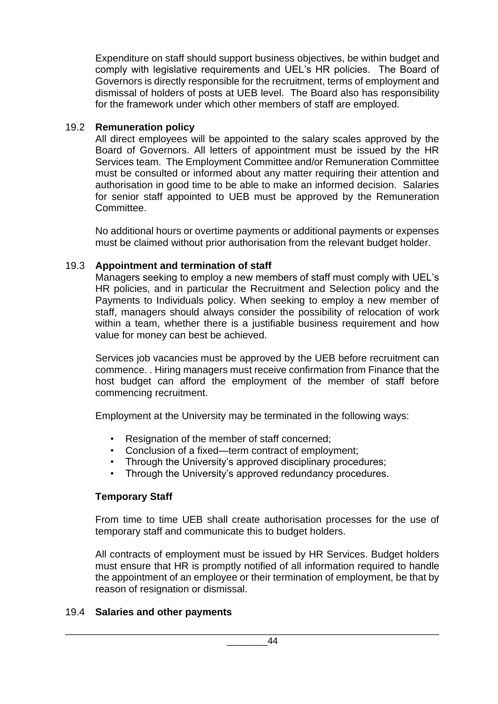Expenditure on staff should support business objectives, be within budget and comply with legislative requirements and UEL's HR policies. The Board of Governors is directly responsible for the recruitment, terms of employment and dismissal of holders of posts at UEB level. The Board also has responsibility for the framework under which other members of staff are employed.

## 19.2 **Remuneration policy**

All direct employees will be appointed to the salary scales approved by the Board of Governors. All letters of appointment must be issued by the HR Services team. The Employment Committee and/or Remuneration Committee must be consulted or informed about any matter requiring their attention and authorisation in good time to be able to make an informed decision. Salaries for senior staff appointed to UEB must be approved by the Remuneration Committee.

No additional hours or overtime payments or additional payments or expenses must be claimed without prior authorisation from the relevant budget holder.

#### 19.3 **Appointment and termination of staff**

Managers seeking to employ a new members of staff must comply with UEL's HR policies, and in particular the Recruitment and Selection policy and the Payments to Individuals policy. When seeking to employ a new member of staff, managers should always consider the possibility of relocation of work within a team, whether there is a justifiable business requirement and how value for money can best be achieved.

Services job vacancies must be approved by the UEB before recruitment can commence. . Hiring managers must receive confirmation from Finance that the host budget can afford the employment of the member of staff before commencing recruitment.

Employment at the University may be terminated in the following ways:

- Resignation of the member of staff concerned;
- Conclusion of a fixed—term contract of employment;
- Through the University's approved disciplinary procedures;
- Through the University's approved redundancy procedures.

#### **Temporary Staff**

From time to time UEB shall create authorisation processes for the use of temporary staff and communicate this to budget holders.

All contracts of employment must be issued by HR Services. Budget holders must ensure that HR is promptly notified of all information required to handle the appointment of an employee or their termination of employment, be that by reason of resignation or dismissal.

#### 19.4 **Salaries and other payments**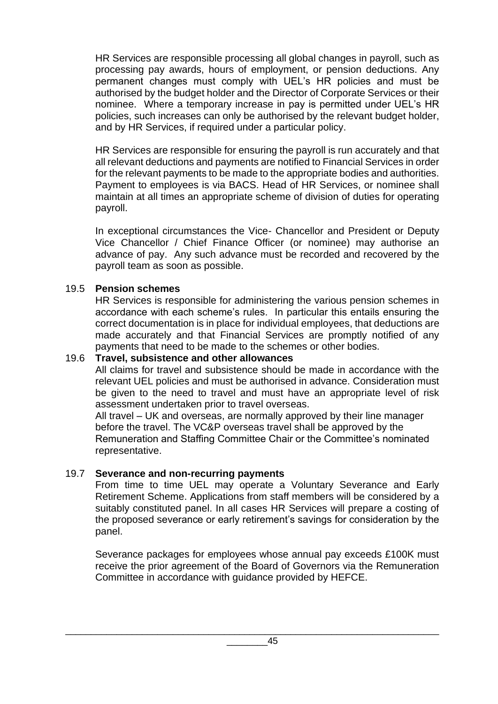HR Services are responsible processing all global changes in payroll, such as processing pay awards, hours of employment, or pension deductions. Any permanent changes must comply with UEL's HR policies and must be authorised by the budget holder and the Director of Corporate Services or their nominee. Where a temporary increase in pay is permitted under UEL's HR policies, such increases can only be authorised by the relevant budget holder, and by HR Services, if required under a particular policy.

HR Services are responsible for ensuring the payroll is run accurately and that all relevant deductions and payments are notified to Financial Services in order for the relevant payments to be made to the appropriate bodies and authorities. Payment to employees is via BACS. Head of HR Services, or nominee shall maintain at all times an appropriate scheme of division of duties for operating payroll.

In exceptional circumstances the Vice- Chancellor and President or Deputy Vice Chancellor / Chief Finance Officer (or nominee) may authorise an advance of pay. Any such advance must be recorded and recovered by the payroll team as soon as possible.

#### 19.5 **Pension schemes**

HR Services is responsible for administering the various pension schemes in accordance with each scheme's rules. In particular this entails ensuring the correct documentation is in place for individual employees, that deductions are made accurately and that Financial Services are promptly notified of any payments that need to be made to the schemes or other bodies.

# 19.6 **Travel, subsistence and other allowances**

All claims for travel and subsistence should be made in accordance with the relevant UEL policies and must be authorised in advance. Consideration must be given to the need to travel and must have an appropriate level of risk assessment undertaken prior to travel overseas.

All travel – UK and overseas, are normally approved by their line manager before the travel. The VC&P overseas travel shall be approved by the Remuneration and Staffing Committee Chair or the Committee's nominated representative.

#### 19.7 **Severance and non-recurring payments**

From time to time UEL may operate a Voluntary Severance and Early Retirement Scheme. Applications from staff members will be considered by a suitably constituted panel. In all cases HR Services will prepare a costing of the proposed severance or early retirement's savings for consideration by the panel.

Severance packages for employees whose annual pay exceeds £100K must receive the prior agreement of the Board of Governors via the Remuneration Committee in accordance with guidance provided by HEFCE.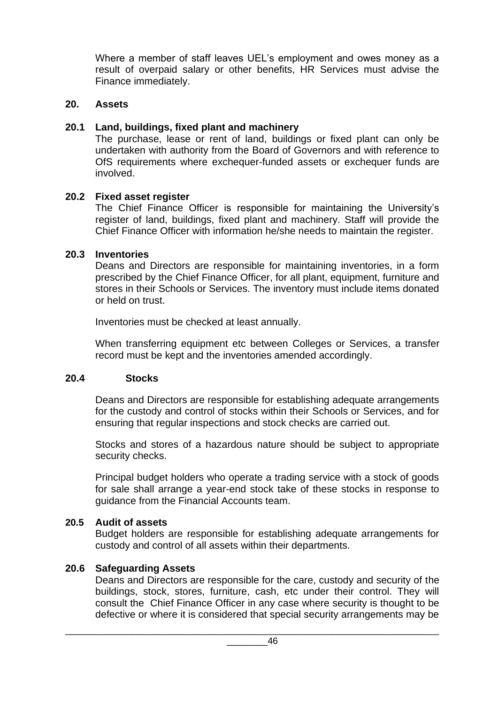Where a member of staff leaves UEL's employment and owes money as a result of overpaid salary or other benefits, HR Services must advise the Finance immediately.

## **20. Assets**

#### **20.1 Land, buildings, fixed plant and machinery**

The purchase, lease or rent of land, buildings or fixed plant can only be undertaken with authority from the Board of Governors and with reference to OfS requirements where exchequer-funded assets or exchequer funds are involved.

#### **20.2 Fixed asset register**

The Chief Finance Officer is responsible for maintaining the University's register of land, buildings, fixed plant and machinery. Staff will provide the Chief Finance Officer with information he/she needs to maintain the register.

#### **20.3 Inventories**

Deans and Directors are responsible for maintaining inventories, in a form prescribed by the Chief Finance Officer, for all plant, equipment, furniture and stores in their Schools or Services. The inventory must include items donated or held on trust.

Inventories must be checked at least annually.

When transferring equipment etc between Colleges or Services, a transfer record must be kept and the inventories amended accordingly.

#### **20.4 Stocks**

Deans and Directors are responsible for establishing adequate arrangements for the custody and control of stocks within their Schools or Services, and for ensuring that regular inspections and stock checks are carried out.

Stocks and stores of a hazardous nature should be subject to appropriate security checks.

Principal budget holders who operate a trading service with a stock of goods for sale shall arrange a year-end stock take of these stocks in response to guidance from the Financial Accounts team.

# **20.5 Audit of assets**

Budget holders are responsible for establishing adequate arrangements for custody and control of all assets within their departments.

# **20.6 Safeguarding Assets**

Deans and Directors are responsible for the care, custody and security of the buildings, stock, stores, furniture, cash, etc under their control. They will consult the Chief Finance Officer in any case where security is thought to be defective or where it is considered that special security arrangements may be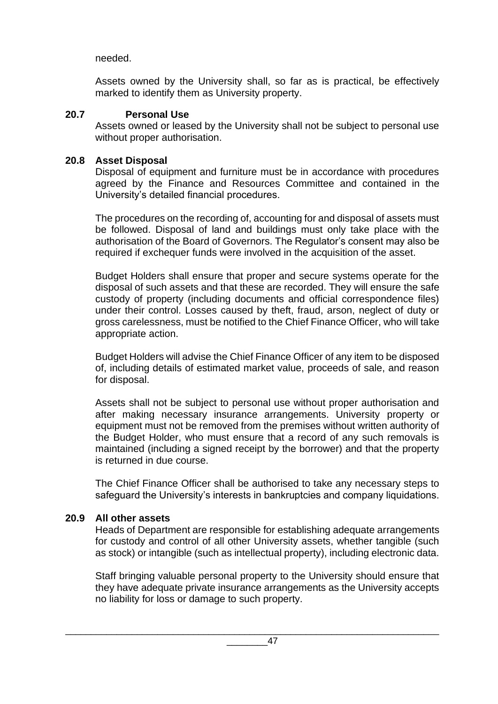# needed.

Assets owned by the University shall, so far as is practical, be effectively marked to identify them as University property.

#### **20.7 Personal Use**

Assets owned or leased by the University shall not be subject to personal use without proper authorisation.

## **20.8 Asset Disposal**

Disposal of equipment and furniture must be in accordance with procedures agreed by the Finance and Resources Committee and contained in the University's detailed financial procedures.

The procedures on the recording of, accounting for and disposal of assets must be followed. Disposal of land and buildings must only take place with the authorisation of the Board of Governors. The Regulator's consent may also be required if exchequer funds were involved in the acquisition of the asset.

Budget Holders shall ensure that proper and secure systems operate for the disposal of such assets and that these are recorded. They will ensure the safe custody of property (including documents and official correspondence files) under their control. Losses caused by theft, fraud, arson, neglect of duty or gross carelessness, must be notified to the Chief Finance Officer, who will take appropriate action.

Budget Holders will advise the Chief Finance Officer of any item to be disposed of, including details of estimated market value, proceeds of sale, and reason for disposal.

Assets shall not be subject to personal use without proper authorisation and after making necessary insurance arrangements. University property or equipment must not be removed from the premises without written authority of the Budget Holder, who must ensure that a record of any such removals is maintained (including a signed receipt by the borrower) and that the property is returned in due course.

The Chief Finance Officer shall be authorised to take any necessary steps to safeguard the University's interests in bankruptcies and company liquidations.

# **20.9 All other assets**

Heads of Department are responsible for establishing adequate arrangements for custody and control of all other University assets, whether tangible (such as stock) or intangible (such as intellectual property), including electronic data.

Staff bringing valuable personal property to the University should ensure that they have adequate private insurance arrangements as the University accepts no liability for loss or damage to such property.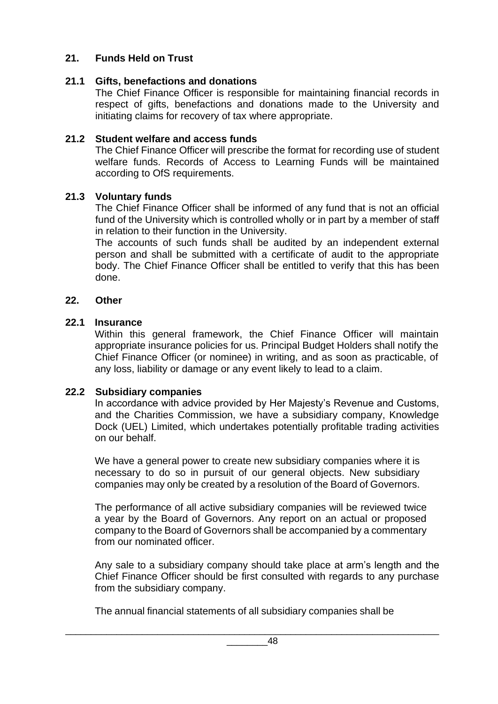# **21. Funds Held on Trust**

# **21.1 Gifts, benefactions and donations**

The Chief Finance Officer is responsible for maintaining financial records in respect of gifts, benefactions and donations made to the University and initiating claims for recovery of tax where appropriate.

# **21.2 Student welfare and access funds**

The Chief Finance Officer will prescribe the format for recording use of student welfare funds. Records of Access to Learning Funds will be maintained according to OfS requirements.

# **21.3 Voluntary funds**

The Chief Finance Officer shall be informed of any fund that is not an official fund of the University which is controlled wholly or in part by a member of staff in relation to their function in the University.

The accounts of such funds shall be audited by an independent external person and shall be submitted with a certificate of audit to the appropriate body. The Chief Finance Officer shall be entitled to verify that this has been done.

# **22. Other**

# **22.1 Insurance**

Within this general framework, the Chief Finance Officer will maintain appropriate insurance policies for us. Principal Budget Holders shall notify the Chief Finance Officer (or nominee) in writing, and as soon as practicable, of any loss, liability or damage or any event likely to lead to a claim.

# **22.2 Subsidiary companies**

In accordance with advice provided by Her Majesty's Revenue and Customs, and the Charities Commission, we have a subsidiary company, Knowledge Dock (UEL) Limited, which undertakes potentially profitable trading activities on our behalf.

We have a general power to create new subsidiary companies where it is necessary to do so in pursuit of our general objects. New subsidiary companies may only be created by a resolution of the Board of Governors.

The performance of all active subsidiary companies will be reviewed twice a year by the Board of Governors. Any report on an actual or proposed company to the Board of Governors shall be accompanied by a commentary from our nominated officer.

Any sale to a subsidiary company should take place at arm's length and the Chief Finance Officer should be first consulted with regards to any purchase from the subsidiary company.

The annual financial statements of all subsidiary companies shall be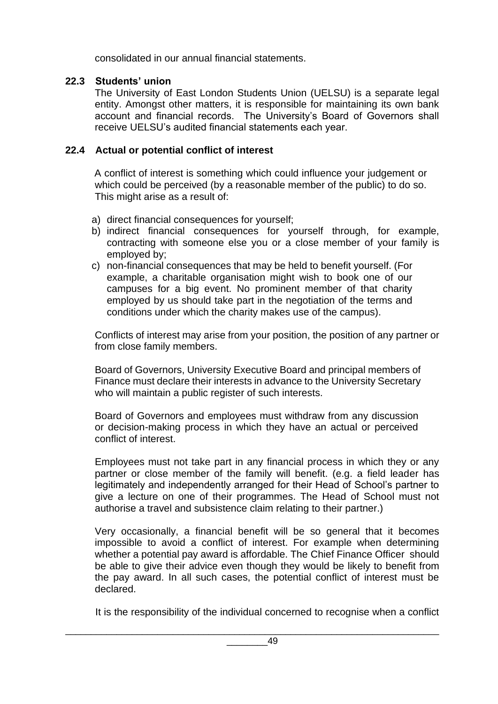consolidated in our annual financial statements.

# **22.3 Students' union**

The University of East London Students Union (UELSU) is a separate legal entity. Amongst other matters, it is responsible for maintaining its own bank account and financial records. The University's Board of Governors shall receive UELSU's audited financial statements each year.

# **22.4 Actual or potential conflict of interest**

A conflict of interest is something which could influence your judgement or which could be perceived (by a reasonable member of the public) to do so. This might arise as a result of:

- a) direct financial consequences for yourself;
- b) indirect financial consequences for yourself through, for example, contracting with someone else you or a close member of your family is employed by;
- c) non-financial consequences that may be held to benefit yourself. (For example, a charitable organisation might wish to book one of our campuses for a big event. No prominent member of that charity employed by us should take part in the negotiation of the terms and conditions under which the charity makes use of the campus).

Conflicts of interest may arise from your position, the position of any partner or from close family members.

Board of Governors, University Executive Board and principal members of Finance must declare their interests in advance to the University Secretary who will maintain a public register of such interests.

Board of Governors and employees must withdraw from any discussion or decision-making process in which they have an actual or perceived conflict of interest.

Employees must not take part in any financial process in which they or any partner or close member of the family will benefit. (e.g. a field leader has legitimately and independently arranged for their Head of School's partner to give a lecture on one of their programmes. The Head of School must not authorise a travel and subsistence claim relating to their partner.)

Very occasionally, a financial benefit will be so general that it becomes impossible to avoid a conflict of interest. For example when determining whether a potential pay award is affordable. The Chief Finance Officer should be able to give their advice even though they would be likely to benefit from the pay award. In all such cases, the potential conflict of interest must be declared.

It is the responsibility of the individual concerned to recognise when a conflict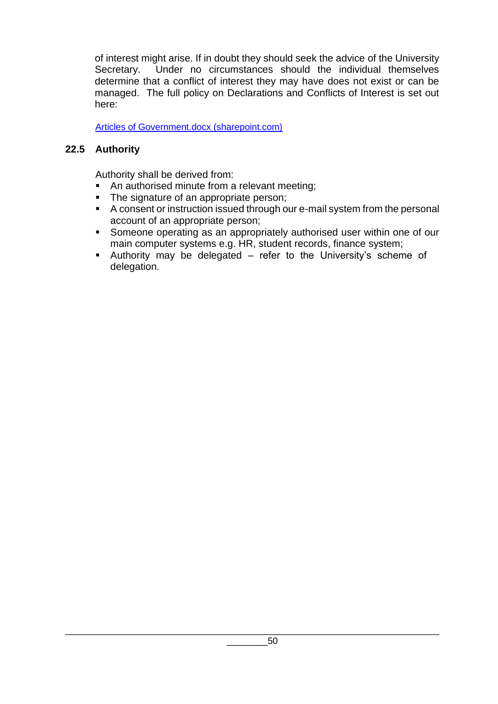of interest might arise. If in doubt they should seek the advice of the University Secretary. Under no circumstances should the individual themselves determine that a conflict of interest they may have does not exist or can be managed. The full policy on Declarations and Conflicts of Interest is set out here:

[Articles of Government.docx \(sharepoint.com\)](https://uelac.sharepoint.com/:w:/r/sites/GovernanceandLegal/_layouts/15/Doc.aspx?sourcedoc=%7BF8830521-F792-43E3-AAB9-9FA2D1286A64%7D&file=Articles%20of%20Government.docx&action=default&mobileredirect=true&DefaultItemOpen=1)

# **22.5 Authority**

Authority shall be derived from:

- An authorised minute from a relevant meeting;
- The signature of an appropriate person;
- A consent or instruction issued through our e-mail system from the personal account of an appropriate person;
- Someone operating as an appropriately authorised user within one of our main computer systems e.g. HR, student records, finance system;
- Authority may be delegated refer to the University's scheme of delegation.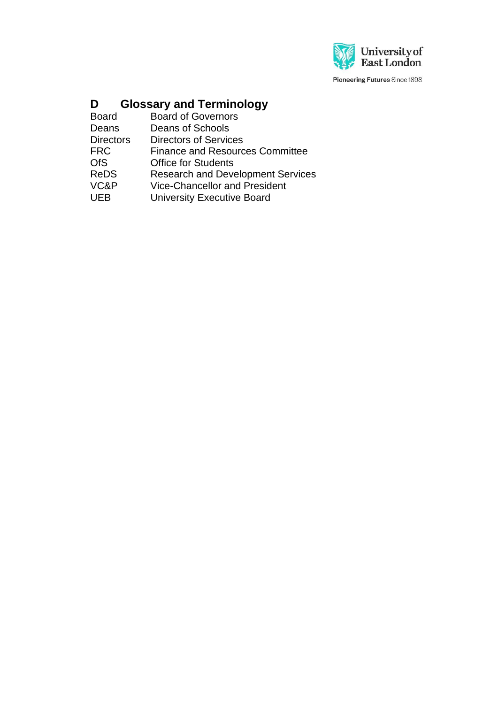

Pioneering Futures Since 1898

# **D Glossary and Terminology**

| <b>Board</b>     | <b>Board of Governors</b>                |
|------------------|------------------------------------------|
| Deans            | Deans of Schools                         |
| <b>Directors</b> | <b>Directors of Services</b>             |
| FRC              | <b>Finance and Resources Committee</b>   |
| <b>OfS</b>       | <b>Office for Students</b>               |
| <b>ReDS</b>      | <b>Research and Development Services</b> |
| VC&P             | <b>Vice-Chancellor and President</b>     |
| UEB              | <b>University Executive Board</b>        |
|                  |                                          |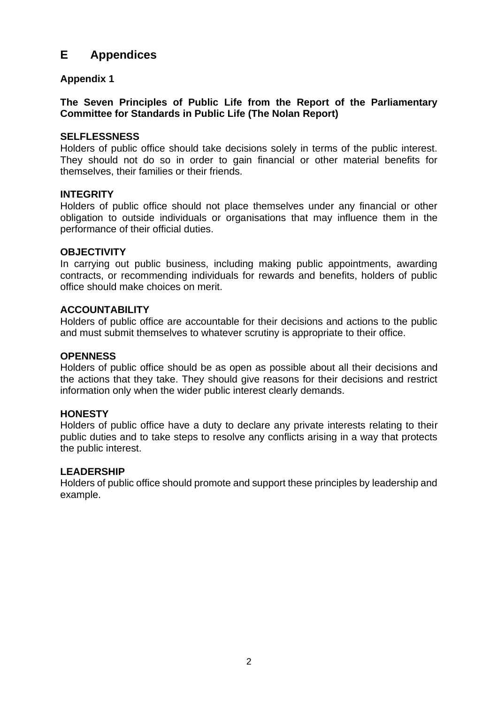# **E Appendices**

#### **Appendix 1**

#### **The Seven Principles of Public Life from the Report of the Parliamentary Committee for Standards in Public Life (The Nolan Report)**

#### **SELFLESSNESS**

Holders of public office should take decisions solely in terms of the public interest. They should not do so in order to gain financial or other material benefits for themselves, their families or their friends.

#### **INTEGRITY**

Holders of public office should not place themselves under any financial or other obligation to outside individuals or organisations that may influence them in the performance of their official duties.

#### **OBJECTIVITY**

In carrying out public business, including making public appointments, awarding contracts, or recommending individuals for rewards and benefits, holders of public office should make choices on merit.

#### **ACCOUNTABILITY**

Holders of public office are accountable for their decisions and actions to the public and must submit themselves to whatever scrutiny is appropriate to their office.

#### **OPENNESS**

Holders of public office should be as open as possible about all their decisions and the actions that they take. They should give reasons for their decisions and restrict information only when the wider public interest clearly demands.

#### **HONESTY**

Holders of public office have a duty to declare any private interests relating to their public duties and to take steps to resolve any conflicts arising in a way that protects the public interest.

#### **LEADERSHIP**

Holders of public office should promote and support these principles by leadership and example.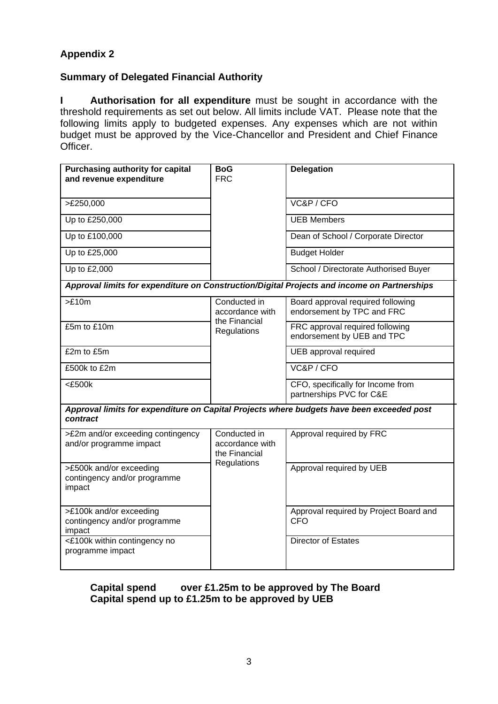# **Appendix 2**

# **Summary of Delegated Financial Authority**

**I Authorisation for all expenditure** must be sought in accordance with the threshold requirements as set out below. All limits include VAT. Please note that the following limits apply to budgeted expenses. Any expenses which are not within budget must be approved by the Vice-Chancellor and President and Chief Finance Officer.

| <b>Purchasing authority for capital</b><br>and revenue expenditure | BoG<br><b>FRC</b>                                | <b>Delegation</b>                                                                           |
|--------------------------------------------------------------------|--------------------------------------------------|---------------------------------------------------------------------------------------------|
|                                                                    |                                                  |                                                                                             |
| >E250,000                                                          |                                                  | VC&P / CFO                                                                                  |
| Up to £250,000                                                     |                                                  | <b>UEB Members</b>                                                                          |
| Up to £100,000                                                     |                                                  | Dean of School / Corporate Director                                                         |
| Up to £25,000                                                      |                                                  | <b>Budget Holder</b>                                                                        |
| Up to £2,000                                                       |                                                  | School / Directorate Authorised Buyer                                                       |
|                                                                    |                                                  | Approval limits for expenditure on Construction/Digital Projects and income on Partnerships |
| >E10m                                                              | Conducted in<br>accordance with                  | Board approval required following<br>endorsement by TPC and FRC                             |
| £5m to £10m                                                        | the Financial<br>Regulations                     | FRC approval required following<br>endorsement by UEB and TPC                               |
| £2m to £5m                                                         |                                                  | UEB approval required                                                                       |
| £500k to £2m                                                       |                                                  | VC&P/CFO                                                                                    |
| $<$ £500 $k$                                                       |                                                  | CFO, specifically for Income from<br>partnerships PVC for C&E                               |
| contract                                                           |                                                  | Approval limits for expenditure on Capital Projects where budgets have been exceeded post   |
| >£2m and/or exceeding contingency<br>and/or programme impact       | Conducted in<br>accordance with<br>the Financial | Approval required by FRC                                                                    |
| >£500k and/or exceeding<br>contingency and/or programme<br>impact  | Regulations                                      | Approval required by UEB                                                                    |
| >£100k and/or exceeding<br>contingency and/or programme<br>impact  |                                                  | Approval required by Project Board and<br><b>CFO</b>                                        |
| <£100k within contingency no<br>programme impact                   |                                                  | Director of Estates                                                                         |

#### **Capital spend over £1.25m to be approved by The Board Capital spend up to £1.25m to be approved by UEB**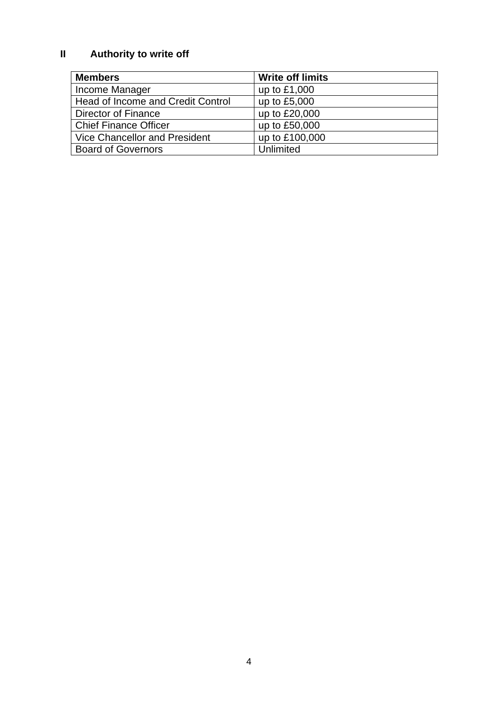# **II Authority to write off**

| <b>Members</b>                           | <b>Write off limits</b> |
|------------------------------------------|-------------------------|
| Income Manager                           | up to £1,000            |
| <b>Head of Income and Credit Control</b> | up to £5,000            |
| Director of Finance                      | up to £20,000           |
| <b>Chief Finance Officer</b>             | up to £50,000           |
| Vice Chancellor and President            | up to £100,000          |
| <b>Board of Governors</b>                | Unlimited               |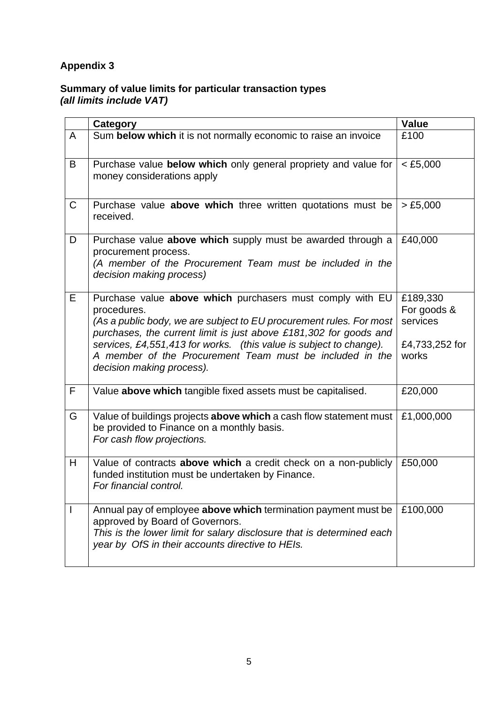# **Appendix 3**

# **Summary of value limits for particular transaction types**  *(all limits include VAT)*

|              | <b>Category</b>                                                                                                                                                                                                                                                                                                                                                                     | Value                                                          |
|--------------|-------------------------------------------------------------------------------------------------------------------------------------------------------------------------------------------------------------------------------------------------------------------------------------------------------------------------------------------------------------------------------------|----------------------------------------------------------------|
| A            | Sum below which it is not normally economic to raise an invoice                                                                                                                                                                                                                                                                                                                     | £100                                                           |
| B            | Purchase value below which only general propriety and value for<br>money considerations apply                                                                                                                                                                                                                                                                                       | $<$ £5,000                                                     |
| $\mathsf C$  | Purchase value above which three written quotations must be<br>received.                                                                                                                                                                                                                                                                                                            | > £5,000                                                       |
| D            | Purchase value above which supply must be awarded through a<br>procurement process.<br>(A member of the Procurement Team must be included in the<br>decision making process)                                                                                                                                                                                                        | £40,000                                                        |
| E            | Purchase value above which purchasers must comply with EU<br>procedures.<br>(As a public body, we are subject to EU procurement rules. For most<br>purchases, the current limit is just above £181,302 for goods and<br>services, £4,551,413 for works. (this value is subject to change).<br>A member of the Procurement Team must be included in the<br>decision making process). | £189,330<br>For goods &<br>services<br>£4,733,252 for<br>works |
| $\mathsf{F}$ | Value above which tangible fixed assets must be capitalised.                                                                                                                                                                                                                                                                                                                        | £20,000                                                        |
| G            | Value of buildings projects above which a cash flow statement must<br>be provided to Finance on a monthly basis.<br>For cash flow projections.                                                                                                                                                                                                                                      | £1,000,000                                                     |
| H            | Value of contracts above which a credit check on a non-publicly<br>funded institution must be undertaken by Finance.<br>For financial control.                                                                                                                                                                                                                                      | £50,000                                                        |
| I            | Annual pay of employee above which termination payment must be<br>approved by Board of Governors.<br>This is the lower limit for salary disclosure that is determined each<br>year by OfS in their accounts directive to HEIs.                                                                                                                                                      | £100,000                                                       |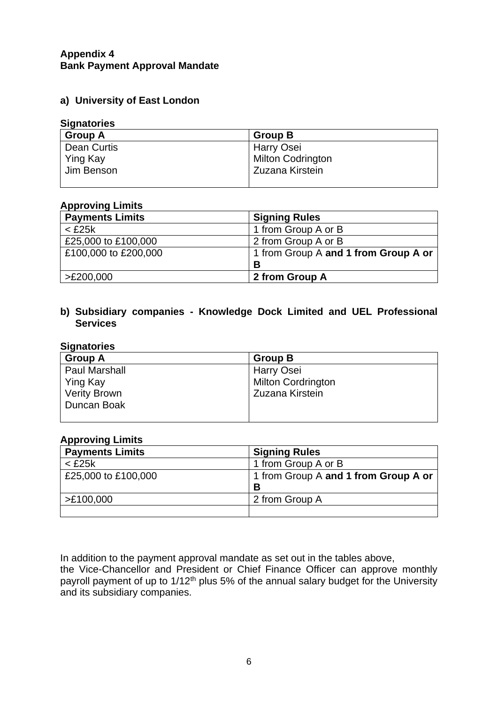#### **Appendix 4 Bank Payment Approval Mandate**

#### **a) University of East London**

#### **Signatories**

| <b>Group A</b>  | <b>Group B</b>           |
|-----------------|--------------------------|
| Dean Curtis     | Harry Osei               |
| <b>Ying Kay</b> | <b>Milton Codrington</b> |
| Jim Benson      | Zuzana Kirstein          |
|                 |                          |

#### **Approving Limits**

| <b>Payments Limits</b> | <b>Signing Rules</b>                 |
|------------------------|--------------------------------------|
| $<$ £25 $k$            | 1 from Group A or B                  |
| £25,000 to £100,000    | 2 from Group A or B                  |
| £100,000 to £200,000   | 1 from Group A and 1 from Group A or |
|                        | B                                    |
| >E200,000              | 2 from Group A                       |

#### **b) Subsidiary companies - Knowledge Dock Limited and UEL Professional Services**

# **Signatories**

| <b>Group A</b>       | <b>Group B</b>            |
|----------------------|---------------------------|
| <b>Paul Marshall</b> | Harry Osei                |
| Ying Kay             | <b>Milton Cordrington</b> |
| <b>Verity Brown</b>  | Zuzana Kirstein           |
| Duncan Boak          |                           |
|                      |                           |

#### **Approving Limits**

| <b>Payments Limits</b> | <b>Signing Rules</b>                 |
|------------------------|--------------------------------------|
| $<$ £25 $k$            | 1 from Group A or B                  |
| £25,000 to £100,000    | 1 from Group A and 1 from Group A or |
|                        | В                                    |
| >E100,000              | 2 from Group A                       |
|                        |                                      |

In addition to the payment approval mandate as set out in the tables above, the Vice-Chancellor and President or Chief Finance Officer can approve monthly payroll payment of up to 1/12<sup>th</sup> plus 5% of the annual salary budget for the University and its subsidiary companies.